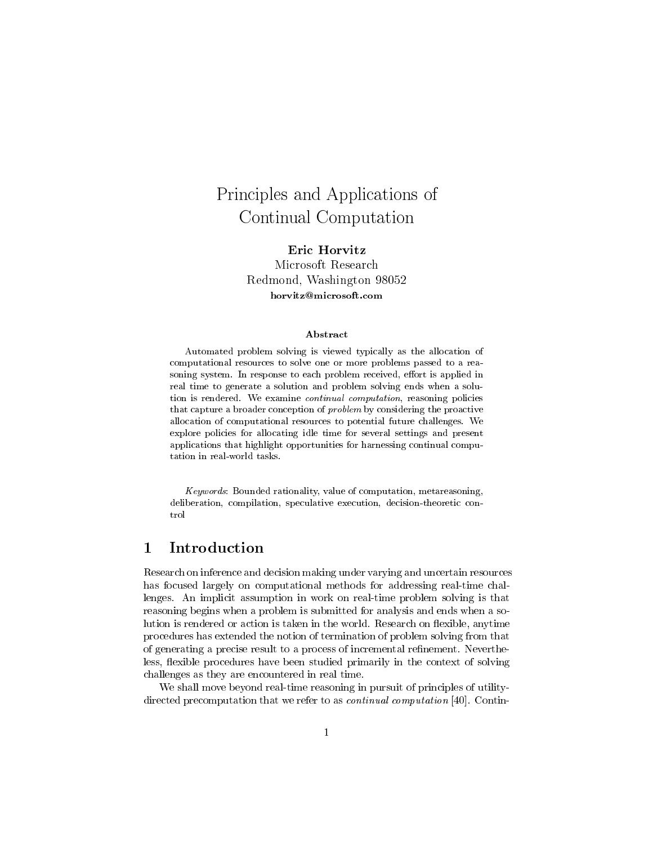## Principles and Applications of Continual Computation

Eric Horvitz Microsoft ResearchRedmond, Washington 98052horvitz@microsoft.com

### Abstract

Automated problem solving is viewed typically as the allocation of computational resources to solve one or more problems passed to a reasoning system. In response to each problem received, effort is applied in real time to generate a solution and problem solving ends when a solution is rendered. We examine continual computation, reasoning policies that capture a broader conception of problem by considering the proactive allocation of computational resources to potential future challenges. We explore policies for allocating idle time for several settings and present applications that highlight opportunities for harnessing continual computation in real-world tasks.

Keywords: Bounded rationality, value of computation, metareasoning, deliberation, compilation, speculative execution, decision-theoretic con trol

Research on inference and decision making under varying and uncertain resources has focused largely on computational methods for addressing real-time challenges. An implicit assumption in work on real-time problem solving is that reasoning begins when a problem is submitted for analysis and ends when a solution is rendered or action is taken in the world. Research on flexible, anytime procedures has extended the notion of termination of problem solving from that of generating a precise result to a process of incremental refinement. Nevertheless, flexible procedures have been studied primarily in the context of solving challenges as they are encountered in real time.

We shall move beyond real-time reasoning in pursuit of principles of utilitydirected precomputation that we refer to as *continual computation* [40]. Contin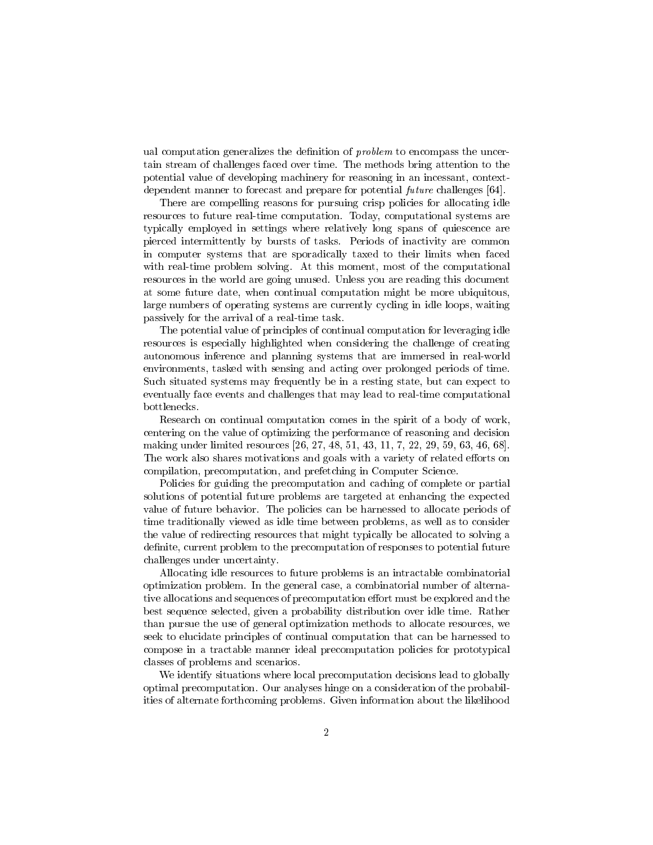ual computation generalizes the definition of *problem* to encompass the uncertain stream of challenges faced over time. The methods bring attention to the potential value of developing machinery for reasoning in an incessant, contextdependent manner to forecast and prepare for potential future challenges [64].

There are compelling reasons for pursuing crisp policies for allocating idle resources to future real-time computation. Today, computational systems are typically employed in settings where relatively long spans of quiescence are pierced intermittently by bursts of tasks. Periods of inactivity are common in computer systems that are sporadically taxed to their limits when faced with real-time problem solving. At this moment, most of the computational resources in the world are going unused. Unless you are reading this document at some future date, when continual computation might be more ubiquitous, large numbers of operating systems are currently cycling in idle loops, waiting passively for the arrival of a real-time task.

The potential value of principles of continual computation for leveraging idle resources is especially highlighted when considering the challenge of creating autonomous inference and planning systems that are immersed in real-world environments, tasked with sensing and acting over prolonged periods of time. Such situated systems may frequently be in a resting state, but can expect to eventually face events and challenges that may lead to real-time computational bottlenecks.

Research on continual computation comes in the spirit of a body of work, centering on the value of optimizing the performance of reasoning and decision making under limited resources [26, 27, 48, 51, 43, 11, 7, 22, 29, 59, 63, 46, 68]. The work also shares motivations and goals with a variety of related efforts on compilation, precomputation, and prefetching in Computer Science.

Policies for guiding the precomputation and caching of complete or partial solutions of potential future problems are targeted at enhancing the expected value of future behavior. The policies can be harnessed to allocate periods of time traditionally viewed as idle time between problems, as well as to consider the value of redirecting resources that might typically be allocated to solving a definite, current problem to the precomputation of responses to potential future challenges under uncertainty.

Allocating idle resources to future problems is an intractable combinatorial optimization problem. In the general case, a combinatorial number of alternative allocations and sequences of precomputation effort must be explored and the best sequence selected, given a probability distribution over idle time. Rather than pursue the use of general optimization methods to allocate resources, we seek to elucidate principles of continual computation that can be harnessed to compose in a tractable manner ideal precomputation policies for prototypical classes of problems and scenarios.

We identify situations where local precomputation decisions lead to globally optimal precomputation. Our analyses hinge on a consideration of the probabilities of alternate forthcoming problems. Given information about the likelihood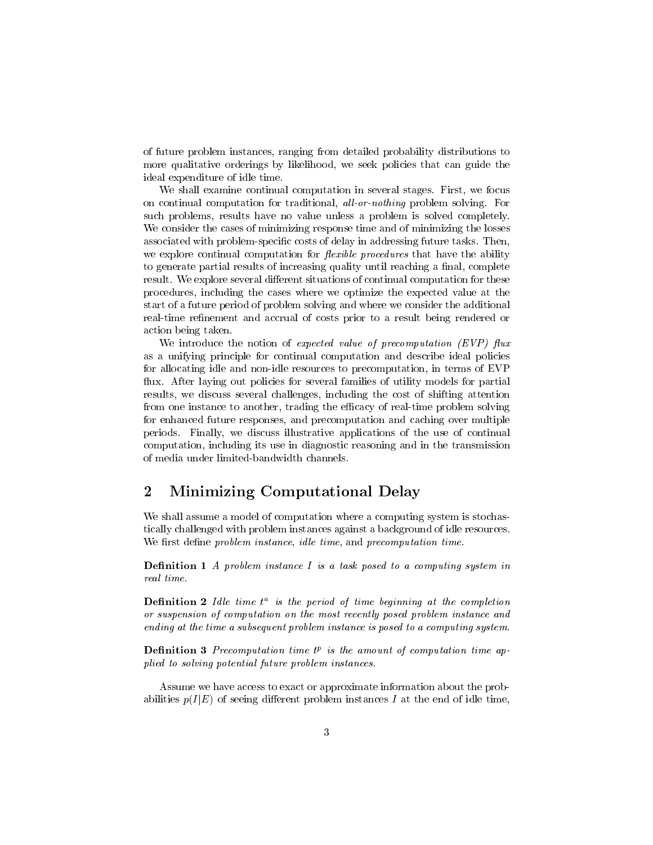of future problem instances, ranging from detailed probability distributions to more qualitative orderings by likelihood, we seek policies that can guide the ideal expenditure of idle time.

We shall examine continual computation in several stages. First, we focus on continual computation for traditional, all-or-nothing problem solving. For such problems, results have no value unless a problem is solved completely. We consider the cases of minimizing response time and of minimizing the losses associated with problem-specic costs of delay in addressing future tasks. Then, we explore continual computation for *flexible procedures* that have the ability to generate partial results of increasing quality until reaching a final, complete result. We explore several different situations of continual computation for these procedures, including the cases where we optimize the expected value at the start of a future period of problem solving and where we consider the additional real-time refinement and accrual of costs prior to a result being rendered or action being taken.

We introduce the notion of expected value of precomputation  $(EVP)$  flux as a unifying principle for continual computation and describe ideal policies for allocating idle and non-idle resources to precomputation, in terms of EVP flux. After laying out policies for several families of utility models for partial results, we discuss several challenges, including the cost of shifting attention from one instance to another, trading the efficacy of real-time problem solving for enhanced future responses, and precomputation and caching over multiple periods. Finally, we discuss illustrative applications of the use of continual computation, including its use in diagnostic reasoning and in the transmission of media under limited-bandwidth channels.

### 2 Minimizing Computational Delay

We shall assume a model of computation where a computing system is stochastically challenged with problem instances against a background of idle resources. We first define problem instance, idle time, and precomputation time.

 $D$ e $\text{min}$ tion 1  $\Lambda$  problem instance 1 is a task posed to a computing system in

**Demition 2** late time to is the period of time veginiting at the completion or suspension of computation on the most recently posed problem instance and ending at the time a subsequent problem instance is posed to a computing system.

 $D$ ennition  $S$  precomputation time to is the amount of computation time applied to solving potential future problem instances.

Assume we have access to exact or approximate information about the probabilities  $p(I|E)$  of seeing different problem instances I at the end of idle time,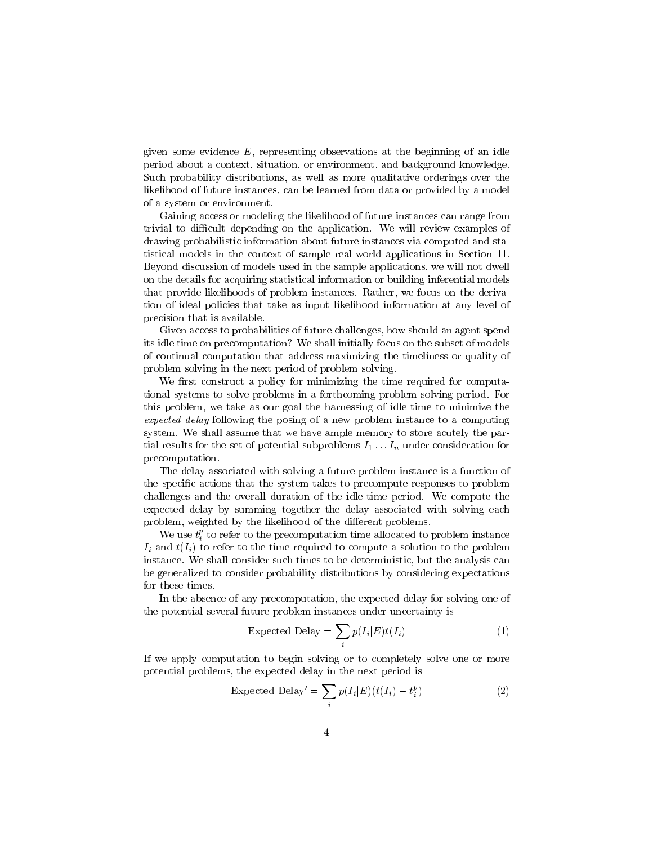given some evidence  $E$ , representing observations at the beginning of an idle period about a context, situation, or environment, and background knowledge. Such probability distributions, as well as more qualitative orderings over the likelihood of future instances, can be learned from data or provided by a model of a system or environment.

Gaining access or modeling the likelihood of future instances can range from trivial to difficult depending on the application. We will review examples of drawing probabilistic information about future instances via computed and statistical models in the context of sample real-world applications in Section 11. Beyond discussion of models used in the sample applications, we will not dwell on the details for acquiring statistical information or building inferential models that provide likelihoods of problem instances. Rather, we focus on the derivation of ideal policies that take as input likelihood information at any level of precision that is available.

Given access to probabilities of future challenges, how should an agent spend its idle time on precomputation? We shall initially focus on the subset of models of continual computation that address maximizing the timeliness or quality of problem solving in the next period of problem solving.

We first construct a policy for minimizing the time required for computational systems to solve problems in a forthcoming problem-solving period. For this problem, we take as our goal the harnessing of idle time to minimize the expected delay following the posing of a new problem instance to a computing system. We shall assume that we have ample memory to store acutely the partial results for the set of potential subproblems  $I_1 \ldots I_n$  under consideration for precomputation.

The delay associated with solving a future problem instance is a function of the specic actions that the system takes to precompute responses to problem challenges and the overall duration of the idle-time period. We compute the expected delay by summing together the delay associated with solving each problem, weighted by the likelihood of the different problems.

We use  $t_i^{\epsilon}$  to refer to the precomputation time allocated to problem instance  $I_i$  and  $t(I_i)$  to refer to the time required to compute a solution to the problem instance. We shall consider such times to be deterministic, but the analysis can be generalized to consider probability distributions by considering expectations for these times.

In the absence of any precomputation, the expected delay for solving one of the potential several future problem instances under uncertainty is

Expected Delay = 
$$
\sum_{i} p(I_i|E)t(I_i)
$$
 (1)

If we apply computation to begin solving or to completely solve one or more potential problems, the expected delay in the next period is

Expected Delay' = 
$$
\sum_{i} p(I_i|E)(t(I_i) - t_i^p)
$$
 (2)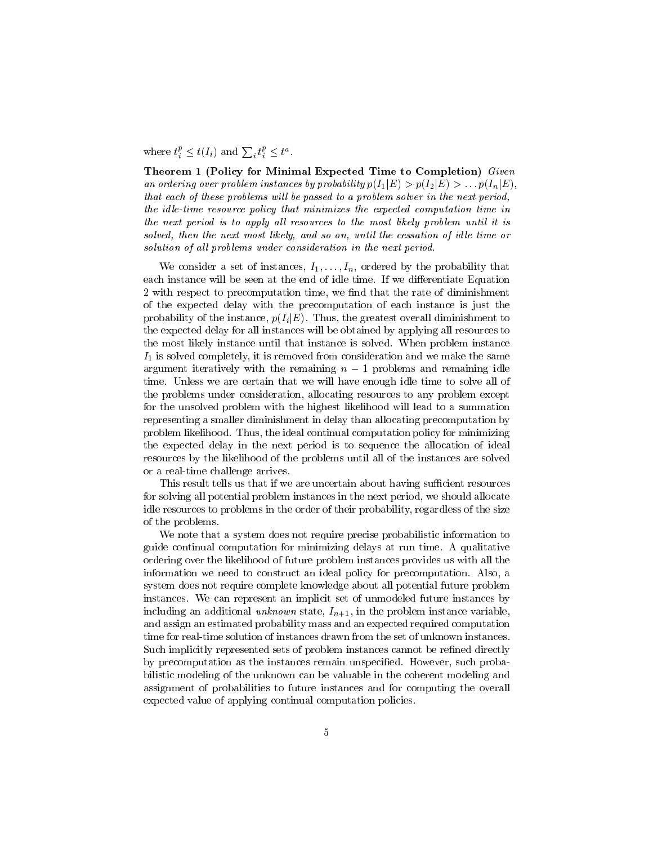where  $t_i^p \leq t(I_i)$  and  $\sum_i t_i^p \leq t^a$ .

Theorem 1 (Folicy for Minimal Expected Thile to Completion) Given an ordering over problem instances by probability  $p(I_1|E) > p(I_2|E) > ... p(I_n|E)$ , that each of these problems will be passed to a problem solver in the next period, the idle-time resource policy that minimizes the expected computation time in the next period is to apply all resources to the most likely problem until it is solved, then the next most likely, and so on, until the cessation of idle time or solution of all problems under consideration in the next period.

We consider a set of instances,  $I_1,\ldots,I_n$ , ordered by the probability that each instance will be seen at the end of idle time. If we differentiate Equation 2 with respect to precomputation time, we find that the rate of diminishment of the expected delay with the precomputation of each instance is just the probability of the instance,  $p(I_i|E)$ . Thus, the greatest overall diminishment to the expected delay for all instances will be obtained by applying all resources to the most likely instance until that instance is solved. When problem instance  $I_1$  is solved completely, it is removed from consideration and we make the same argument iteratively with the remaining  $n - 1$  problems and remaining idle time. Unless we are certain that we will have enough idle time to solve all of the problems under consideration, allocating resources to any problem except for the unsolved problem with the highest likelihood will lead to a summation representing a smaller diminishment in delay than allocating precomputation by problem likelihood. Thus, the ideal continual computation policy for minimizing the expected delay in the next period is to sequence the allocation of ideal resources by the likelihood of the problems until all of the instances are solved or a real-time challenge arrives.

This result tells us that if we are uncertain about having sufficient resources for solving all potential problem instances in the next period, we should allocate idle resources to problems in the order of their probability, regardless of the size of the problems.

We note that a system does not require precise probabilistic information to guide continual computation for minimizing delays at run time. A qualitative ordering over the likelihood of future problem instances provides us with all the information we need to construct an ideal policy for precomputation. Also, a system does not require complete knowledge about all potential future problem instances. We can represent an implicit set of unmodeled future instances by including an additional unknown state,  $I_{n+1}$ , in the problem instance variable, and assign an estimated probability mass and an expected required computation time for real-time solution of instances drawn from the set of unknown instances. Such implicitly represented sets of problem instances cannot be refined directly by precomputation as the instances remain unspecied. However, such probabilistic modeling of the unknown can be valuable in the coherent modeling and assignment of probabilities to future instances and for computing the overall expected value of applying continual computation policies.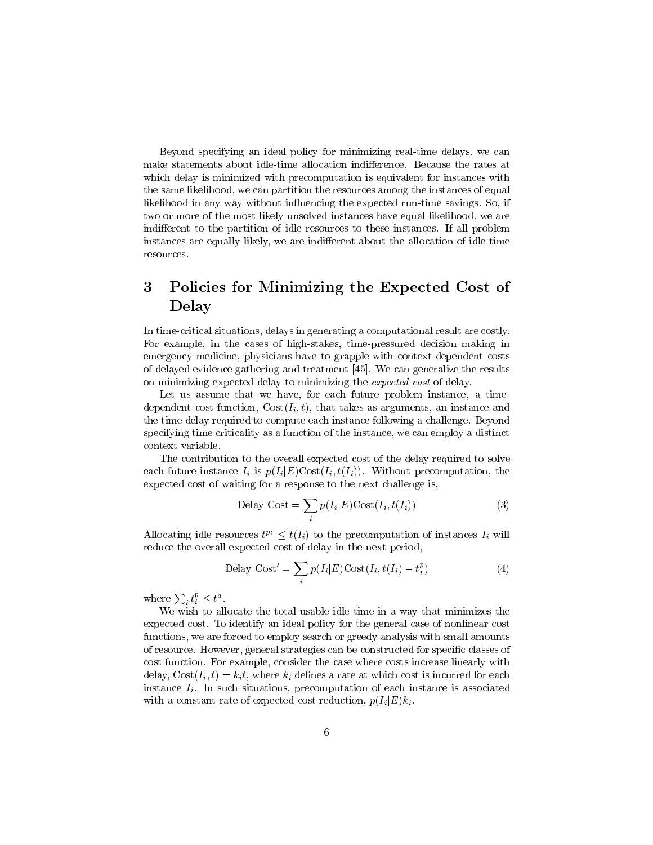Beyond specifying an ideal policy for minimizing real-time delays, we can make statements about idle-time allocation indifference. Because the rates at which delay is minimized with precomputation is equivalent for instances with the same likelihood, we can partition the resources among the instances of equal likelihood in any way without influencing the expected run-time savings. So, if two or more of the most likely unsolved instances have equal likelihood, we are indifferent to the partition of idle resources to these instances. If all problem instances are equally likely, we are indifferent about the allocation of idle-time resources.

### 3 Policies for Minimizing the Expected Cost of Delay

In time-critical situations, delays in generating a computational result are costly. For example, in the cases of high-stakes, time-pressured decision making in emergency medicine, physicians have to grapple with context-dependent costs of delayed evidence gathering and treatment [45]. We can generalize the results on minimizing expected delay to minimizing the expected cost of delay.

Let us assume that we have, for each future problem instance, a timedependent cost function,  $Cost(I_i, t)$ , that takes as arguments, an instance and the time delay required to compute each instance following a challenge. Beyond specifying time criticality as a function of the instance, we can employ a distinct context variable.

The contribution to the overall expected cost of the delay required to solve each future instance  $I_i$  is  $p(I_i|E)\text{Cost}(I_i,t(I_i))$ . Without precomputation, the expected cost of waiting for a response to the next challenge is,

$$
Delay Cost = \sum_{i} p(I_i|E)Cost(I_i, t(I_i))
$$
\n(3)

Allocating idle resources  $t^{p_i} \lt t(I_i)$  to the precomputation of instances  $I_i$  will reduce the overall expected cost of delay in the next period,

$$
\text{Delay Cost}' = \sum_{i} p(I_i|E)\text{Cost}(I_i, t(I_i) - t_i^p) \tag{4}
$$

where  $\sum_i t_i^p \leq t^a$ .

We wish to allocate the total usable idle time in a way that minimizes the expected cost. To identify an ideal policy for the general case of nonlinear cost functions, we are forced to employ search or greedy analysis with small amounts of resource. However, general strategies can be constructed for specific classes of cost function. For example, consider the case where costs increase linearly with delay,  $Cost(I_i, t) = k_i t$ , where  $k_i$  defines a rate at which cost is incurred for each instance  $I_i$ . In such situations, precomputation of each instance is associated with a constant rate of expected cost reduction,  $p(I_i|E)k_i$ .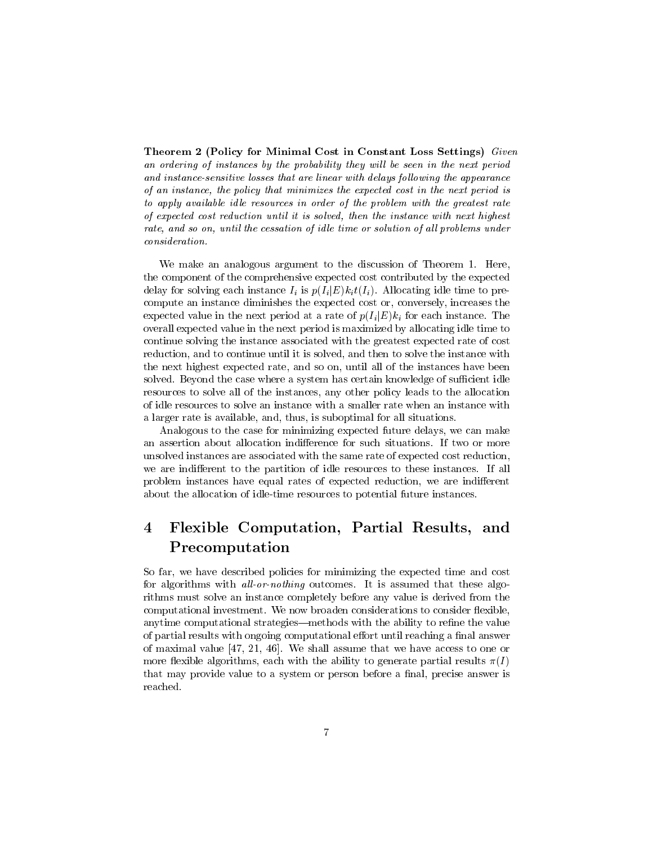Theorem 2 (Folicy for Minimial Cost in Constant Loss Settings) Given an ordering of instances by the probability they will be seen in the next period and instance-sensitive losses that are linear with delays following the appearance of an instance, the policy that minimizes the expected cost in the next period is to apply available idle resources in order of the problem with the greatest rate of expected cost reduction until it is solved, then the instance with next highest rate, and so on, until the cessation of idle time or solution of all problems under consideration.

We make an analogous argument to the discussion of Theorem 1. Here, the component of the comprehensive expected cost contributed by the expected delay for solving each instance  $I_i$  is  $p(I_i|E)k_i t(I_i)$ . Allocating idle time to precompute an instance diminishes the expected cost or, conversely, increases the expected value in the next period at a rate of  $p(I_i|E)k_i$  for each instance. The overall expected value in the next period is maximized by allocating idle time to continue solving the instance associated with the greatest expected rate of cost reduction, and to continue until it is solved, and then to solve the instance with the next highest expected rate, and so on, until all of the instances have been solved. Beyond the case where a system has certain knowledge of sufficient idle resources to solve all of the instances, any other policy leads to the allocation of idle resources to solve an instance with a smaller rate when an instance with a larger rate is available, and, thus, is suboptimal for all situations.

Analogous to the case for minimizing expected future delays, we can make an assertion about allocation indifference for such situations. If two or more unsolved instances are associated with the same rate of expected cost reduction, we are indifferent to the partition of idle resources to these instances. If all problem instances have equal rates of expected reduction, we are indifferent about the allocation of idle-time resources to potential future instances.

### 4 Flexible Computation, Partial Results, and Precomputation

So far, we have described policies for minimizing the expected time and cost for algorithms with  $all-or-nothing$  outcomes. It is assumed that these algorithms must solve an instance completely before any value is derived from the computational investment. We now broaden considerations to consider flexible, anytime computational strategies—methods with the ability to refine the value of partial results with ongoing computational effort until reaching a final answer of maximal value [47, 21, 46]. We shall assume that we have access to one or more flexible algorithms, each with the ability to generate partial results  $\pi(I)$ that may provide value to a system or person before a final, precise answer is reached.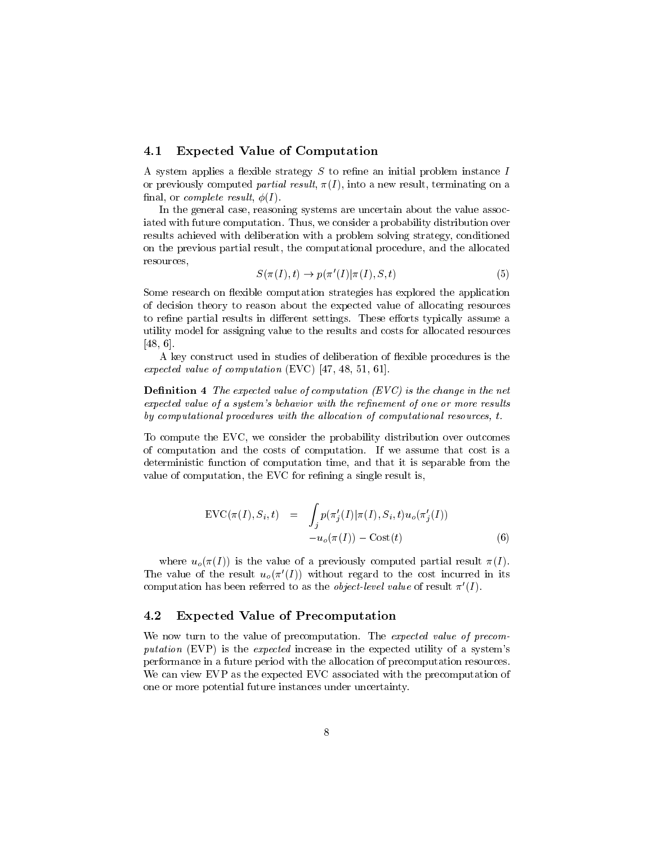#### Expected Value of Computation  $4.1$

A system applies a flexible strategy  $S$  to refine an initial problem instance I or previously computed *partial result*,  $\pi(I)$ , into a new result, terminating on a final, or *complete result*,  $\phi(I)$ .

In the general case, reasoning systems are uncertain about the value associated with future computation. Thus, we consider a probability distribution over results achieved with deliberation with a problem solving strategy, conditioned on the previous partial result, the computational procedure, and the allocated resources,

$$
S(\pi(I), t) \to p(\pi'(I)|\pi(I), S, t) \tag{5}
$$

Some research on flexible computation strategies has explored the application of decision theory to reason about the expected value of allocating resources to refine partial results in different settings. These efforts typically assume a utility model for assigning value to the results and costs for allocated resources [48, 6].

A key construct used in studies of deliberation of flexible procedures is the expected value of computation (EVC) [47, 48, 51, 61].

 $D$  changed  $\bf{H}$  and  $\bf{H}$  are expected value of computation (EVC) is the change in the net expected value of a system's behavior with the refinement of one or more results by computational procedures with the allocation of computational resources,  $t$ .

To compute the EVC, we consider the probability distribution over outcomes of computation and the costs of computation. If we assume that cost is a deterministic function of computation time, and that it is separable from the value of computation, the EVC for refining a single result is,

$$
EVC(\pi(I), S_i, t) = \int_j p(\pi'_j(I)|\pi(I), S_i, t)u_o(\pi'_j(I))
$$

$$
-u_o(\pi(I)) - Cost(t)
$$
(6)

where  $u_o(\pi(I))$  is the value of a previously computed partial result  $\pi(I)$ . The value of the result  $u_o(\pi'(I))$  without regard to the cost incurred in its computation has been referred to as the *object-level value* of result  $\pi'(I)$ .

### 4.2 Expected Value of Precomputation

We now turn to the value of precomputation. The expected value of precomputation (EVP) is the expected increase in the expected utility of a system's performance in a future period with the allocation of precomputation resources. We can view EVP as the expected EVC associated with the precomputation of one or more potential future instances under uncertainty.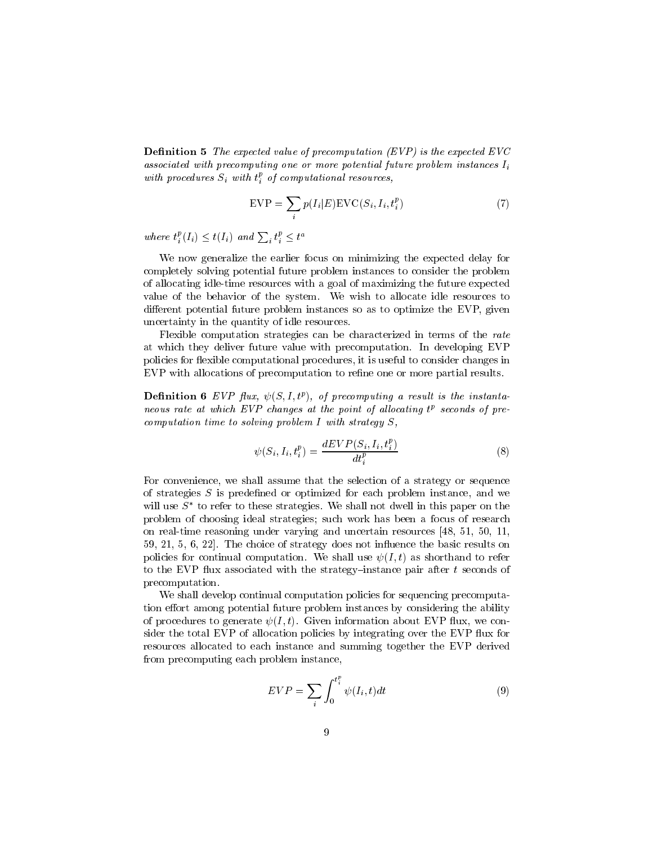**Demittion**  $\boldsymbol{\theta}$  The expected value of precomputation (EVT) is the expected EVC associated with precomputing one or more potential future problem instances  $I_i$ with procedures  $S_i$  with  $t_i^{\epsilon}$  of computational resources,

$$
EVP = \sum_{i} p(I_i|E)EVC(S_i, I_i, t_i^p)
$$
\n(7)

where  $t_i^p(I_i) \leq t(I_i)$  and  $\sum_i t_i^p \leq t^a$ 

We now generalize the earlier focus on minimizing the expected delay for completely solving potential future problem instances to consider the problem of allocating idle-time resources with a goal of maximizing the future expected value of the behavior of the system. We wish to allocate idle resources to different potential future problem instances so as to optimize the EVP, given uncertainty in the quantity of idle resources.

Flexible computation strategies can be characterized in terms of the rate at which they deliver future value with precomputation. In developing EVP policies for flexible computational procedures, it is useful to consider changes in EVP with allocations of precomputation to refine one or more partial results.

**Definition 6** EVP frax,  $\psi(\beta, I, t^{\nu})$ , of precomputing a result is the instantaneous rate at which EVP changes at the point of allocating to seconds of precomputation time to solving problem I with strategy S,

$$
\psi(S_i, I_i, t_i^p) = \frac{dEVP(S_i, I_i, t_i^p)}{dt_i^p} \tag{8}
$$

For convenience, we shall assume that the selection of a strategy or sequence of strategies  $S$  is predefined or optimized for each problem instance, and we will use  $\beta$  to refer to these strategies. We shall not dwell in this paper on the  $\beta$ problem of choosing ideal strategies; such work has been a focus of research on real-time reasoning under varying and uncertain resources [48, 51, 50, 11, 59, 21, 5, 6, 22]. The choice of strategy does not in
uence the basic results on policies for continual computation. We shall use  $\psi(I, t)$  as shorthand to refer to the EVP flux associated with the strategy-instance pair after  $t$  seconds of precomputation.

We shall develop continual computation policies for sequencing precomputation effort among potential future problem instances by considering the ability of procedures to generate  $\psi(I, t)$ . Given information about EVP flux, we consider the total EVP of allocation policies by integrating over the EVP flux for resources allocated to each instance and summing together the EVP derived from precomputing each problem instance,

$$
EVP = \sum_{i} \int_{0}^{t_i^p} \psi(I_i, t) dt
$$
 (9)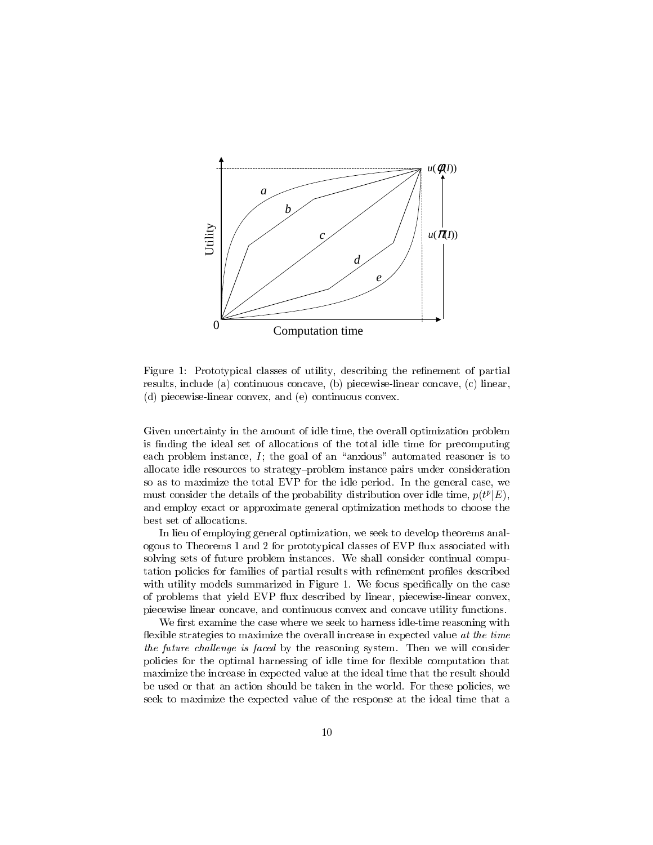

Figure 1: Prototypical classes of utility, describing the refinement of partial results, include (a) continuous concave, (b) piecewise-linear concave, (c) linear, (d) piecewise-linear convex, and (e) continuous convex.

Given uncertainty in the amount of idle time, the overall optimization problem is finding the ideal set of allocations of the total idle time for precomputing each problem instance,  $I$ ; the goal of an "anxious" automated reasoner is to allocate idle resources to strategy-problem instance pairs under consideration so as to maximize the total EVP for the idle period. In the general case, we must consider the details of the probability distribution over idle time,  $p(F|E)$ , and employ exact or approximate general optimization methods to choose the best set of allocations.

In lieu of employing general optimization, we seek to develop theorems analogous to Theorems 1 and 2 for prototypical classes of EVP 
ux associated with solving sets of future problem instances. We shall consider continual computation policies for families of partial results with refinement profiles described with utility models summarized in Figure 1. We focus specifically on the case of problems that yield EVP flux described by linear, piecewise-linear convex, piecewise linear concave, and continuous convex and concave utility functions.

We first examine the case where we seek to harness idle-time reasoning with flexible strategies to maximize the overall increase in expected value at the time the future challenge is faced by the reasoning system. Then we will consider policies for the optimal harnessing of idle time for flexible computation that maximize the increase in expected value at the ideal time that the result should be used or that an action should be taken in the world. For these policies, we seek to maximize the expected value of the response at the ideal time that a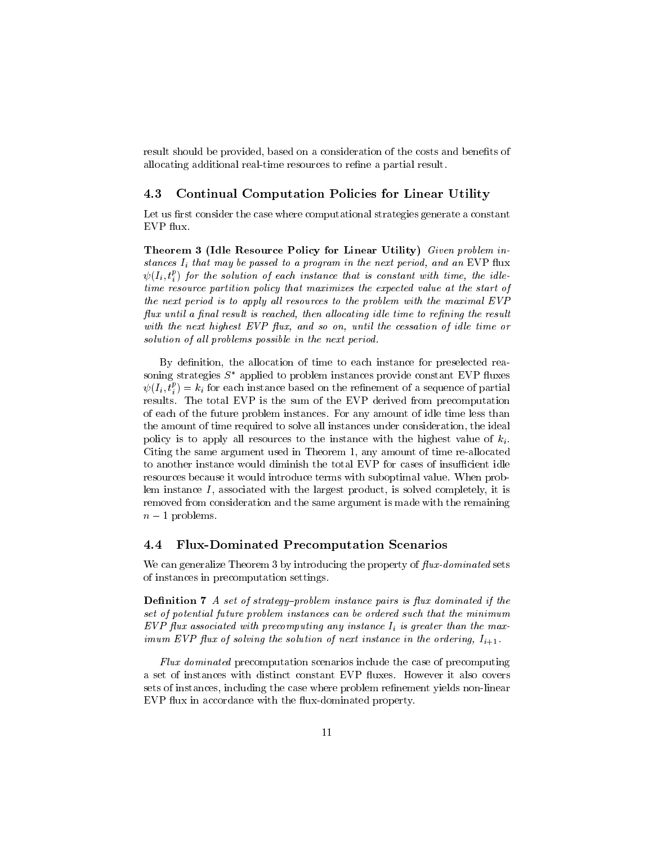result should be provided, based on a consideration of the costs and benefits of allocating additional real-time resources to refine a partial result.

#### Continual Computation Policies for Linear Utility 4.3

Let us first consider the case where computational strategies generate a constant EVP flux.

**Theorem 3 (Tale Resource Policy for Linear Utility)** Given problem instances  $I_i$  that may be passed to a program in the next period, and an EVP flux  $\psi\left(I_{i},t_{i}^{r}\right)$  for the solution of each instance that is constant with time, the idletime resource partition policy that maximizes the expected value at the start of the next period is to apply all resources to the problem with the maximal  $EVP$  $flux$  until a final result is reached, then allocating idle time to refining the result with the next highest EVP flux, and so on, until the cessation of idle time or solution of all problems possible in the next period.

By definition, the allocation of time to each instance for preselected reasoning strategies  $S^*$  applied to problem instances provide constant EVP fluxes  $\psi(I_i,t_i^{\epsilon})=\kappa_i$  for each instance based on the refinement of a sequence of partial results. The total EVP is the sum of the EVP derived from precomputation of each of the future problem instances. For any amount of idle time less than the amount of time required to solve all instances under consideration, the ideal policy is to apply all resources to the instance with the highest value of  $k_i$ . Citing the same argument used in Theorem 1, any amount of time re-allocated to another instance would diminish the total EVP for cases of insufficient idle resources because it would introduce terms with suboptimal value. When problem instance  $I$ , associated with the largest product, is solved completely, it is removed from consideration and the same argument is made with the remaining  $n-1$  problems.

### 4.4 Flux-Dominated Precomputation Scenarios

We can generalize Theorem 3 by introducing the property of  $flux-dominated$  sets of instances in precomputation settings.

 $D$  chinterion  $I$  and set  $Q$  strategy problem instance pairs is fail abintmated if the set of potential future problem instances can be ordered such that the minimum EVP flux associated with precomputing any instance  $I_i$  is greater than the maximum EVP flux of solving the solution of next instance in the ordering,  $I_{i+1}$ .

Flux dominated precomputation scenarios include the case of precomputing a set of instances with distinct constant EVP fluxes. However it also covers sets of instances, including the case where problem refinement yields non-linear EVP flux in accordance with the flux-dominated property.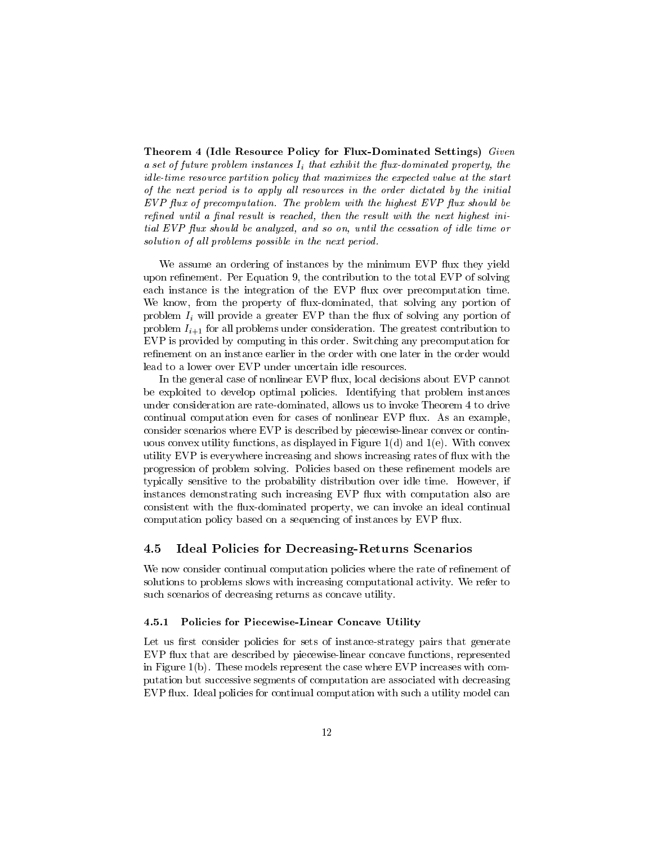Theorem 4 (Idle Resource Policy for Flux-Dominated Settings) Given a set of future problem instances  $I_i$  that exhibit the flux-dominated property, the idle-time resource partition policy that maximizes the expected value at the start of the next period is to apply all resources in the order dictated by the initial  $EVP$  flux of precomputation. The problem with the highest  $EVP$  flux should be  $refined$  until a final result is reached, then the result with the next highest initial EVP flux should be analyzed, and so on, until the cessation of idle time or solution of all problems possible in the next period.

We assume an ordering of instances by the minimum EVP flux they yield upon refinement. Per Equation 9, the contribution to the total EVP of solving each instance is the integration of the EVP flux over precomputation time. We know, from the property of flux-dominated, that solving any portion of problem  $I_i$  will provide a greater EVP than the flux of solving any portion of problem  $I_{i+1}$  for all problems under consideration. The greatest contribution to EVP is provided by computing in this order. Switching any precomputation for refinement on an instance earlier in the order with one later in the order would lead to a lower over EVP under uncertain idle resources.

In the general case of nonlinear EVP flux, local decisions about EVP cannot be exploited to develop optimal policies. Identifying that problem instances under consideration are rate-dominated, allows us to invoke Theorem 4 to drive continual computation even for cases of nonlinear EVP flux. As an example, consider scenarios where EVP is described by piecewise-linear convex or continuous convex utility functions, as displayed in Figure 1(d) and 1(e). With convex utility EVP is everywhere increasing and shows increasing rates of flux with the progression of problem solving. Policies based on these renement models are typically sensitive to the probability distribution over idle time. However, if instances demonstrating such increasing EVP flux with computation also are consistent with the flux-dominated property, we can invoke an ideal continual computation policy based on a sequencing of instances by EVP flux.

#### Ideal Policies for Decreasing-Returns Scenarios  $4.5$

We now consider continual computation policies where the rate of refinement of solutions to problems slows with increasing computational activity. We refer to such scenarios of decreasing returns as concave utility.

#### 4.5.1 Policies for Piecewise-Linear Concave Utility

Let us first consider policies for sets of instance-strategy pairs that generate EVP flux that are described by piecewise-linear concave functions, represented in Figure  $1(b)$ . These models represent the case where EVP increases with computation but successive segments of computation are associated with decreasing EVP flux. Ideal policies for continual computation with such a utility model can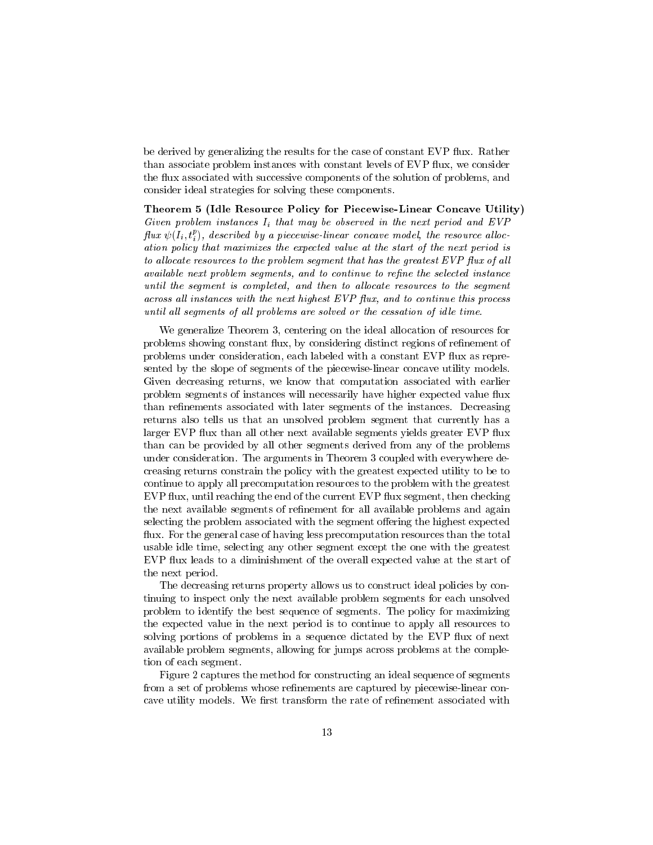be derived by generalizing the results for the case of constant EVP flux. Rather than associate problem instances with constant levels of EVP flux, we consider the flux associated with successive components of the solution of problems, and consider ideal strategies for solving these components.

Theorem 5 (Idle Resource Policy for Piecewise-Linear Concave Utility) Given problem instances  $I_i$  that may be observed in the next period and EVP flux  $\psi(1_i,t_i^{\tau})$ , described by a piecewise-linear concave model, the resource allocation policy that maximizes the expected value at the start of the next period is to allocate resources to the problem segment that has the greatest  $EVP$  flux of all available next problem segments, and to continue to refine the selected instance until the segment is completed, and then to allocate resources to the segment  $across$  all instances with the next highest  $EVP$  flux, and to continue this process until all segments of all problems are solved or the cessation of idle time.

We generalize Theorem 3, centering on the ideal allocation of resources for problems showing constant flux, by considering distinct regions of refinement of problems under consideration, each labeled with a constant EVP flux as represented by the slope of segments of the piecewise-linear concave utility models. Given decreasing returns, we know that computation associated with earlier problem segments of instances will necessarily have higher expected value flux than refinements associated with later segments of the instances. Decreasing returns also tells us that an unsolved problem segment that currently has a larger EVP flux than all other next available segments yields greater EVP flux than can be provided by all other segments derived from any of the problems under consideration. The arguments in Theorem 3 coupled with everywhere decreasing returns constrain the policy with the greatest expected utility to be to continue to apply all precomputation resources to the problem with the greatest EVP flux, until reaching the end of the current EVP flux segment, then checking the next available segments of refinement for all available problems and again selecting the problem associated with the segment offering the highest expected flux. For the general case of having less precomputation resources than the total usable idle time, selecting any other segment except the one with the greatest EVP flux leads to a diminishment of the overall expected value at the start of the next period.

The decreasing returns property allows us to construct ideal policies by continuing to inspect only the next available problem segments for each unsolved problem to identify the best sequence of segments. The policy for maximizing the expected value in the next period is to continue to apply all resources to solving portions of problems in a sequence dictated by the EVP flux of next available problem segments, allowing for jumps across problems at the completion of each segment.

Figure 2 captures the method for constructing an ideal sequence of segments from a set of problems whose refinements are captured by piecewise-linear concave utility models. We first transform the rate of refinement associated with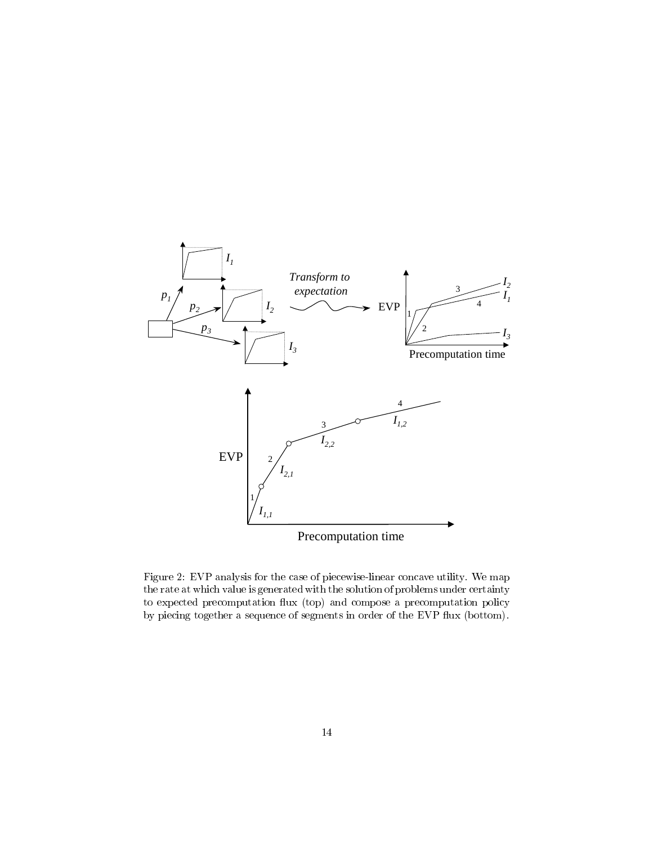

Precomputation time

Figure 2: EVP analysis for the case of piecewise-linear concave utility. We map the rate at which value is generated with the solution of problems under certainty to expected precomputation flux (top) and compose a precomputation policy by piecing together a sequence of segments in order of the EVP flux (bottom).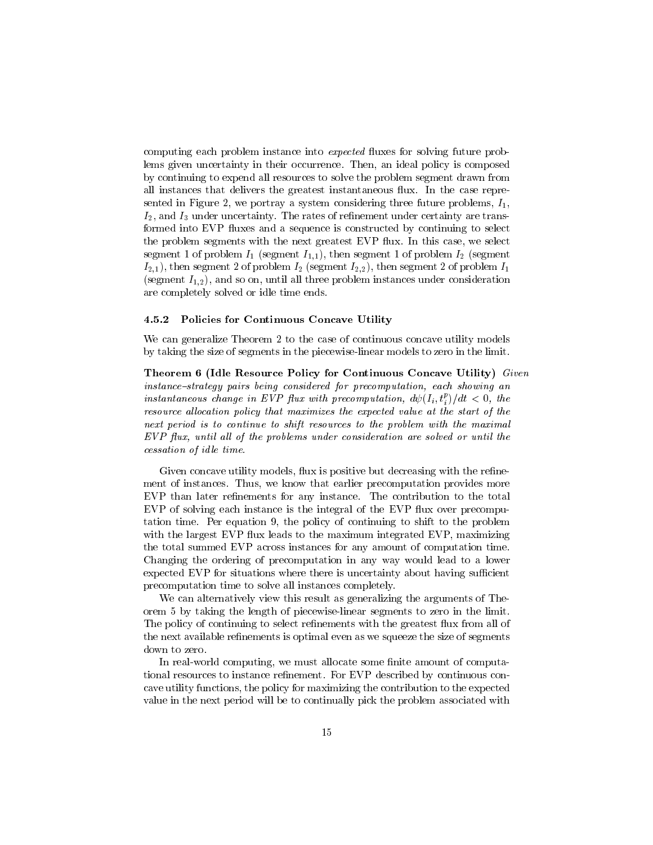computing each problem instance into expected fluxes for solving future problems given uncertainty in their occurrence. Then, an ideal policy is composed by continuing to expend all resources to solve the problem segment drawn from all instances that delivers the greatest instantaneous flux. In the case represented in Figure 2, we portray a system considering three future problems,  $I_1$ ,  $I_2$ , and  $I_3$  under uncertainty. The rates of refinement under certainty are transformed into EVP fluxes and a sequence is constructed by continuing to select the problem segments with the next greatest EVP flux. In this case, we select segment 1 of problem  $I_1$  (segment  $I_{1,1}$ ), then segment 1 of problem  $I_2$  (segment  $I_{2,1}$ ), then segment 2 of problem  $I_2$  (segment  $I_{2,2}$ ), then segment 2 of problem  $I_1$ (segment  $I_{1,2}$ ), and so on, until all three problem instances under consideration are completely solved or idle time ends.

#### 4.5.2Policies for Continuous Concave Utility

We can generalize Theorem 2 to the case of continuous concave utility models by taking the size of segments in the piecewise-linear models to zero in the limit.

Theorem 6 (Tule Resource Policy for Continuous Concave Othroy) Given instance-strategy pairs being considered for precomputation, each showing an instantaneous change in EVP flux with precomputation,  $d\psi(I_i,t_i^{\epsilon})/dt < 0,$  the resource allocation policy that maximizes the expected value at the start of the next period is to continue to shift resources to the problem with the maximal  $EVP$  flux, until all of the problems under consideration are solved or until the cessation of idle time.

Given concave utility models, flux is positive but decreasing with the refinement of instances. Thus, we know that earlier precomputation provides more EVP than later refinements for any instance. The contribution to the total EVP of solving each instance is the integral of the EVP flux over precomputation time. Per equation 9, the policy of continuing to shift to the problem with the largest EVP flux leads to the maximum integrated EVP, maximizing the total summed EVP across instances for any amount of computation time. Changing the ordering of precomputation in any way would lead to a lower expected EVP for situations where there is uncertainty about having sufficient precomputation time to solve all instances completely.

We can alternatively view this result as generalizing the arguments of Theorem 5 by taking the length of piecewise-linear segments to zero in the limit. The policy of continuing to select refinements with the greatest flux from all of the next available refinements is optimal even as we squeeze the size of segments down to zero.

In real-world computing, we must allocate some finite amount of computational resources to instance refinement. For EVP described by continuous concave utility functions, the policy for maximizing the contribution to the expected value in the next period will be to continually pick the problem associated with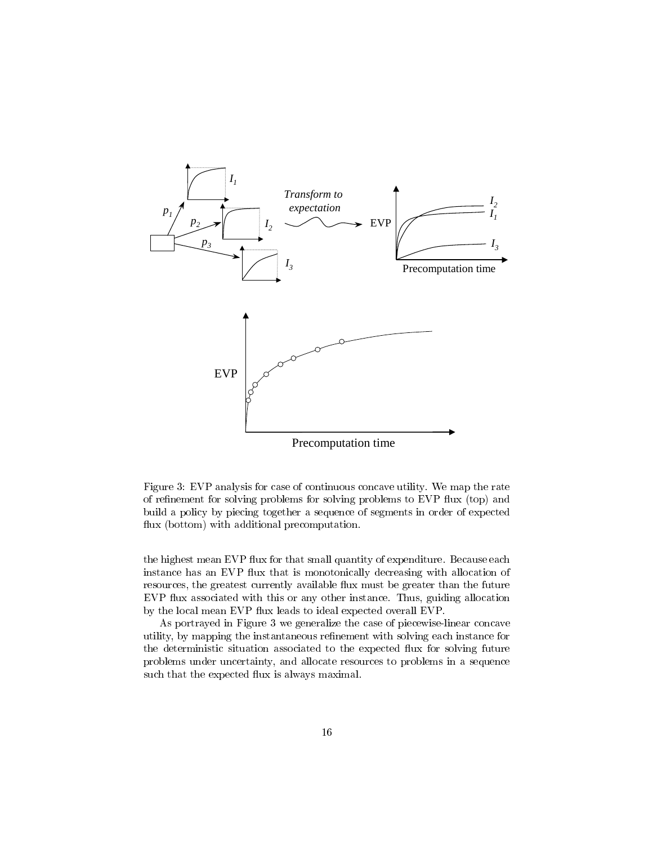

Figure 3: EVP analysis for case of continuous concave utility. We map the rate of refinement for solving problems for solving problems to EVP flux (top) and build a policy by piecing together a sequence of segments in order of expected flux (bottom) with additional precomputation.

the highest mean EVP flux for that small quantity of expenditure. Because each instance has an EVP flux that is monotonically decreasing with allocation of resources, the greatest currently available flux must be greater than the future EVP flux associated with this or any other instance. Thus, guiding allocation by the local mean EVP flux leads to ideal expected overall EVP.

As portrayed in Figure 3 we generalize the case of piecewise-linear concave utility, by mapping the instantaneous renement with solving each instance for the deterministic situation associated to the expected flux for solving future problems under uncertainty, and allocate resources to problems in a sequence such that the expected flux is always maximal.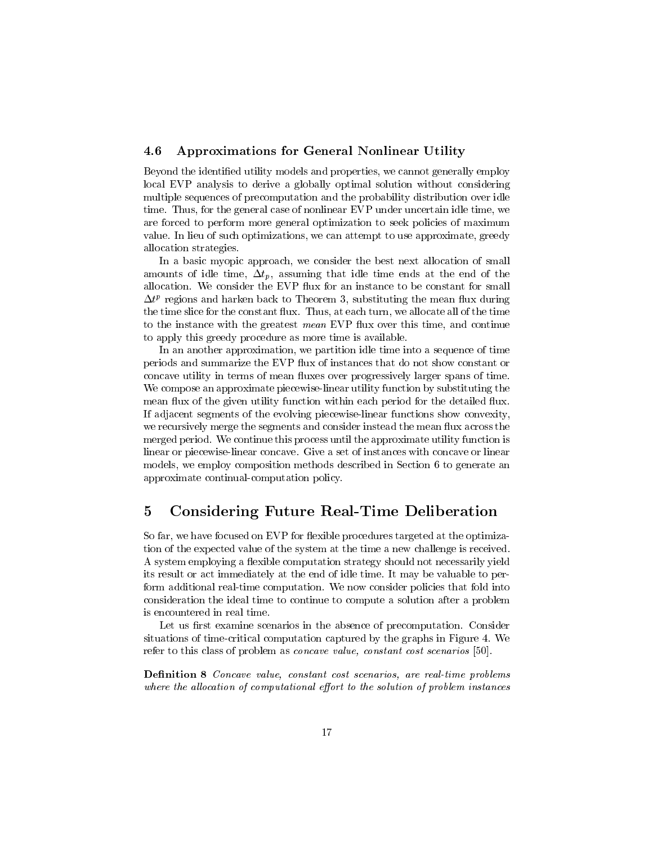### 4.6 Approximations for General Nonlinear Utility

Beyond the identified utility models and properties, we cannot generally employ local EVP analysis to derive a globally optimal solution without considering multiple sequences of precomputation and the probability distribution over idle time. Thus, for the general case of nonlinear EVP under uncertain idle time, we are forced to perform more general optimization to seek policies of maximum value. In lieu of such optimizations, we can attempt to use approximate, greedy allocation strategies.

In a basic myopic approach, we consider the best next allocation of small amounts of idle time,  $\Delta t_p$ , assuming that idle time ends at the end of the allocation. We consider the EVP flux for an instance to be constant for small  $\Delta t^{\mu}$  regions and narken back to Theorem 3, substituting the mean nux during the time slice for the constant flux. Thus, at each turn, we allocate all of the time to the instance with the greatest mean EVP flux over this time, and continue to apply this greedy procedure as more time is available.

In an another approximation, we partition idle time into a sequence of time periods and summarize the EVP flux of instances that do not show constant or concave utility in terms of mean fluxes over progressively larger spans of time. We compose an approximate piecewise-linear utility function by substituting the mean flux of the given utility function within each period for the detailed flux. If adjacent segments of the evolving piecewise-linear functions show convexity, we recursively merge the segments and consider instead the mean flux across the merged period. We continue this process until the approximate utility function is linear or piecewise-linear concave. Give a set of instances with concave or linear models, we employ composition methods described in Section 6 to generate an approximate continual-computation policy.

#### $\overline{5}$ 5 Considering Future Real-Time Deliberation

So far, we have focused on EVP for flexible procedures targeted at the optimization of the expected value of the system at the time a new challenge is received. A system employing a flexible computation strategy should not necessarily yield its result or act immediately at the end of idle time. It may be valuable to perform additional real-time computation. We now consider policies that fold into consideration the ideal time to continue to compute a solution after a problem is encountered in real time.

Let us first examine scenarios in the absence of precomputation. Consider situations of time-critical computation captured by the graphs in Figure 4. We refer to this class of problem as concave value, constant cost scenarios [50].

 $D$ enimenti 8 Concave value, constant cost scenarios, are real-time problems where the allocation of computational effort to the solution of problem instances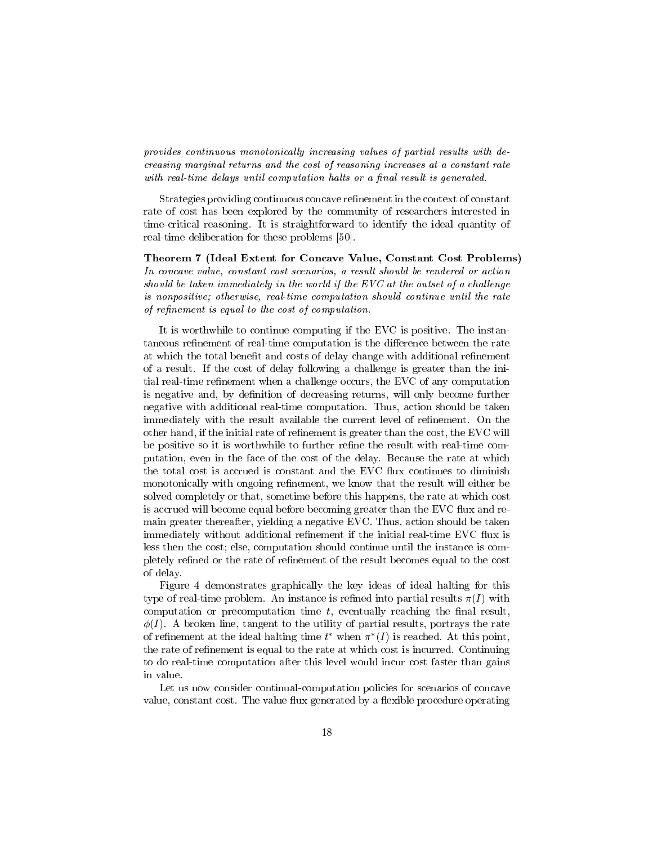provides continuous monotonically increasing values of partial results with decreasing marginal returns and the cost of reasoning increases at a constant rate with real-time delays until computation halts or a final result is generated.

Strategies providing continuous concave refinement in the context of constant rate of cost has been explored by the community of researchers interested in time-critical reasoning. It is straightforward to identify the ideal quantity of real-time deliberation for these problems [50].

Theorem 7 (Ideal Extent for Concave Value, Constant Cost Problems) In concave value, constant cost scenarios, a result should be rendered or action should be taken immediately in the world if the  $EVC$  at the outset of a challenge is nonpositive; otherwise, real-time computation should continue until the rate of refinement is equal to the cost of computation.

It is worthwhile to continue computing if the EVC is positive. The instantaneous refinement of real-time computation is the difference between the rate at which the total benefit and costs of delay change with additional refinement of a result. If the cost of delay following a challenge is greater than the initial real-time refinement when a challenge occurs, the EVC of any computation is negative and, by definition of decreasing returns, will only become further negative with additional real-time computation. Thus, action should be taken immediately with the result available the current level of refinement. On the other hand, if the initial rate of refinement is greater than the cost, the EVC will be positive so it is worthwhile to further refine the result with real-time computation, even in the face of the cost of the delay. Because the rate at which the total cost is accrued is constant and the EVC flux continues to diminish monotonically with ongoing refinement, we know that the result will either be solved completely or that, sometime before this happens, the rate at which cost is accrued will become equal before becoming greater than the EVC flux and remain greater thereafter, yielding a negative EVC. Thus, action should be taken immediately without additional refinement if the initial real-time EVC flux is less then the cost; else, computation should continue until the instance is completely refined or the rate of refinement of the result becomes equal to the cost of delay.

Figure 4 demonstrates graphically the key ideas of ideal halting for this type of real-time problem. An instance is refined into partial results  $\pi(I)$  with computation or precomputation time  $t$ , eventually reaching the final result,  $\phi(I)$ . A broken line, tangent to the utility of partial results, portrays the rate of refinement at the ideal halting time  $\iota$  –when  $\pi$  (I) is reached. At this point, the rate of refinement is equal to the rate at which cost is incurred. Continuing to do real-time computation after this level would incur cost faster than gains in value.

Let us now consider continual-computation policies for scenarios of concave value, constant cost. The value flux generated by a flexible procedure operating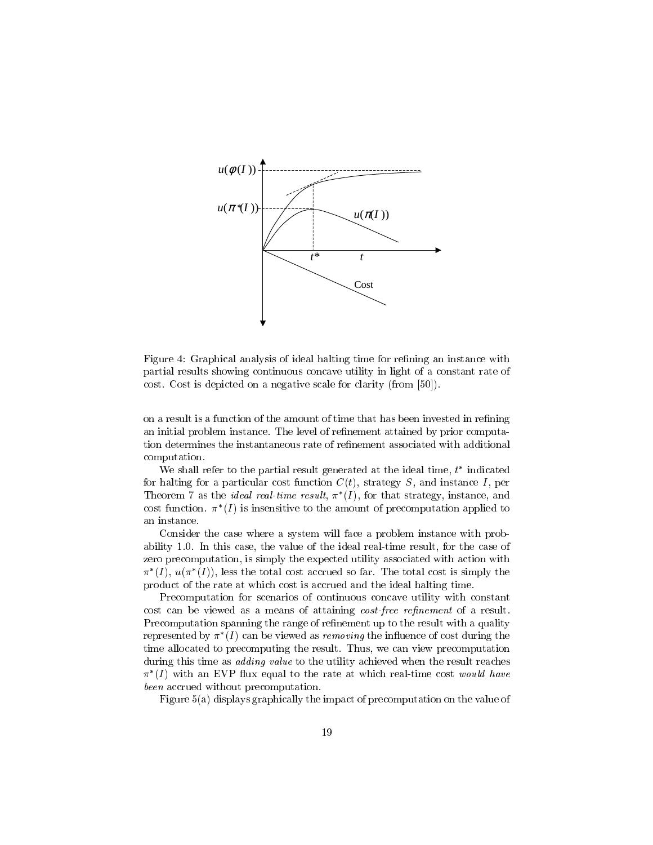

Figure 4: Graphical analysis of ideal halting time for refining an instance with partial results showing continuous concave utility in light of a constant rate of cost. Cost is depicted on a negative scale for clarity (from [50]).

on a result is a function of the amount of time that has been invested in refining an initial problem instance. The level of refinement attained by prior computation determines the instantaneous rate of refinement associated with additional computation.

We shall refer to the partial result generated at the ideal time,  $t$  -indicated  $\theta$ for halting for a particular cost function  $C(t)$ , strategy S, and instance I, per I heorem t as the *ideal real-time result*,  $\pi$  (1), for that strategy, instance, and cost function.  $\pi$  (1) is insensitive to the amount of precomputation applied to an instance.

Consider the case where a system will face a problem instance with probability 1.0. In this case, the value of the ideal real-time result, for the case of zero precomputation, is simply the expected utility associated with action with  $\pi$  (1),  $u(\pi$  (1)), less the total cost accrued so far. The total cost is simply the product of the rate at which cost is accrued and the ideal halting time.

Precomputation for scenarios of continuous concave utility with constant cost can be viewed as a means of attaining *cost-free refinement* of a result. Precomputation spanning the range of refinement up to the result with a quality represented by  $\pi$  (1) can be viewed as *removing* the influence of cost during the time allocated to precomputing the result. Thus, we can view precomputation during this time as *adding value* to the utility achieved when the result reaches  $\pi$  (I) with an EVP mux equal to the rate at which real-time cost would have been accrued without precomputation.

Figure 5(a) displays graphically the impact of precomputation on the value of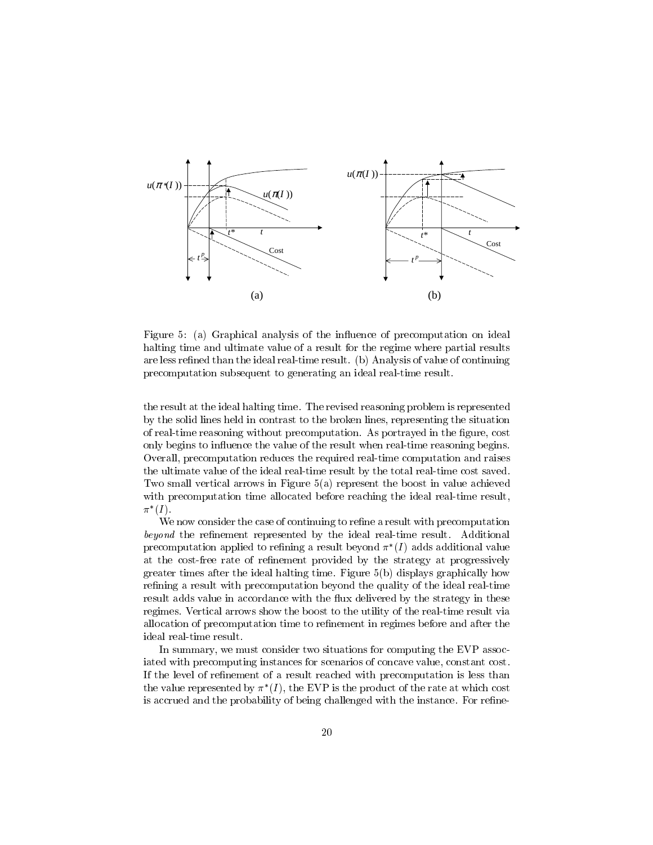

Figure 5: (a) Graphical analysis of the influence of precomputation on ideal halting time and ultimate value of a result for the regime where partial results are less refined than the ideal real-time result. (b) Analysis of value of continuing precomputation subsequent to generating an ideal real-time result.

the result at the ideal halting time. The revised reasoning problem is represented by the solid lines held in contrast to the broken lines, representing the situation of real-time reasoning without precomputation. As portrayed in the figure, cost only begins to influence the value of the result when real-time reasoning begins. Overall, precomputation reduces the required real-time computation and raises the ultimate value of the ideal real-time result by the total real-time cost saved. Two small vertical arrows in Figure 5(a) represent the boost in value achieved with precomputation time allocated before reaching the ideal real-time result,  $\pi$  (*I* ).

We now consider the case of continuing to refine a result with precomputation beyond the refinement represented by the ideal real-time result. Additional precomputation applied to relining a result beyond  $\pi^-(I)$  adds additional value at the cost-free rate of refinement provided by the strategy at progressively greater times after the ideal halting time. Figure 5(b) displays graphically how refining a result with precomputation beyond the quality of the ideal real-time result adds value in accordance with the flux delivered by the strategy in these regimes. Vertical arrows show the boost to the utility of the real-time result via allocation of precomputation time to refinement in regimes before and after the ideal real-time result.

In summary, we must consider two situations for computing the EVP associated with precomputing instances for scenarios of concave value, constant cost. If the level of refinement of a result reached with precomputation is less than the value represented by  $\pi$  (1), the EVP is the product of the rate at which cost is accrued and the probability of being challenged with the instance. For refine-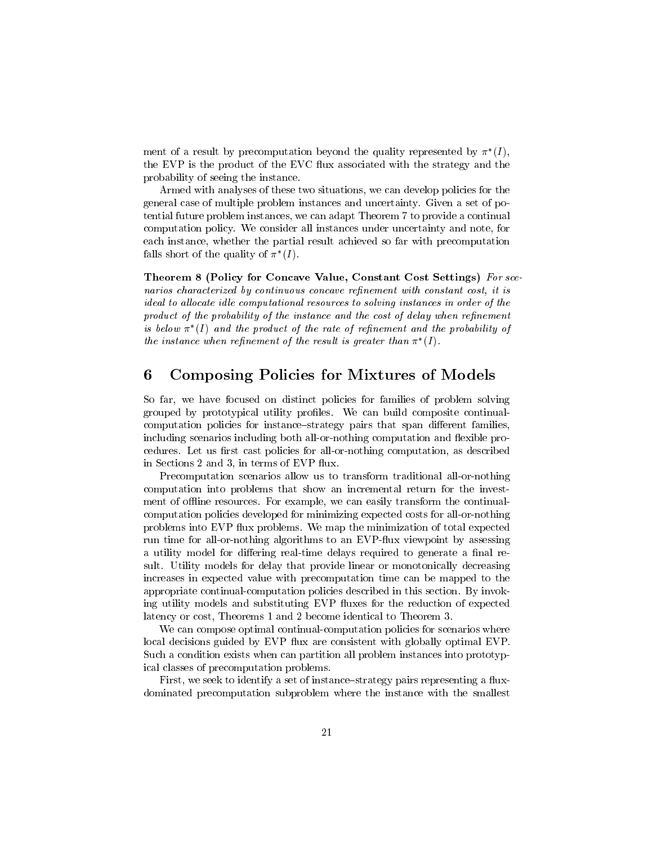ment of a result by precomputation beyond the quality represented by  $\pi$  (1), the EVP is the product of the EVC flux associated with the strategy and the probability of seeing the instance.

Armed with analyses of these two situations, we can develop policies for the general case of multiple problem instances and uncertainty. Given a set of potential future problem instances, we can adapt Theorem 7 to provide a continual computation policy. We consider all instances under uncertainty and note, for each instance, whether the partial result achieved so far with precomputation ralls short of the quality of  $\pi$  (1).

Theorem 8 (Policy for Concave Value, Constant Cost Settings) For scenarios characterized by continuous concave refinement with constant cost, it is ideal to allocate idle computational resources to solving instances in order of the product of the probability of the instance and the cost of delay when refinement is below  $\pi$  (1) and the product of the rate of refinement and the probability of  $\pi$ the instance when refinement of the result is greater than  $\pi^-(1)$ .

### 6 Composing Policies for Mixtures of Models

So far, we have focused on distinct policies for families of problem solving grouped by prototypical utility profiles. We can build composite continualcomputation policies for instance-strategy pairs that span different families, including scenarios including both all-or-nothing computation and flexible procedures. Let us first cast policies for all-or-nothing computation, as described in Sections 2 and 3, in terms of EVP flux.

Precomputation scenarios allow us to transform traditional all-or-nothing computation into problems that show an incremental return for the investment of offline resources. For example, we can easily transform the continualcomputation policies developed for minimizing expected costs for all-or-nothing problems into EVP flux problems. We map the minimization of total expected run time for all-or-nothing algorithms to an EVP-flux viewpoint by assessing a utility model for differing real-time delays required to generate a final result. Utility models for delay that provide linear or monotonically decreasing increases in expected value with precomputation time can be mapped to the appropriate continual-computation policies described in this section. By invoking utility models and substituting EVP fluxes for the reduction of expected latency or cost, Theorems 1 and 2 become identical to Theorem 3.

We can compose optimal continual-computation policies for scenarios where local decisions guided by EVP flux are consistent with globally optimal EVP. Such a condition exists when can partition all problem instances into prototypical classes of precomputation problems.

First, we seek to identify a set of instance-strategy pairs representing a fluxdominated precomputation subproblem where the instance with the smallest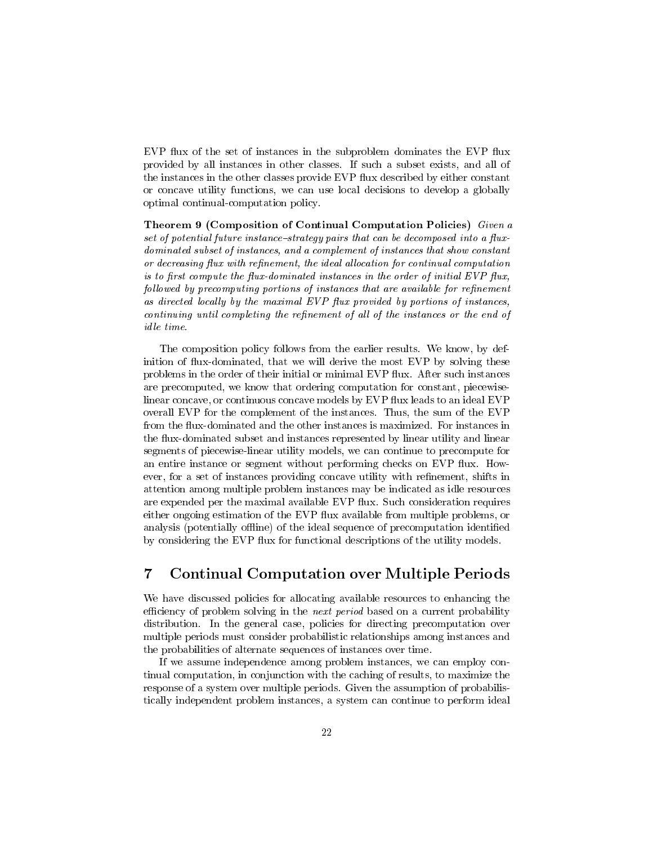EVP flux of the set of instances in the subproblem dominates the EVP flux provided by all instances in other classes. If such a subset exists, and all of the instances in the other classes provide EVP flux described by either constant or concave utility functions, we can use local decisions to develop a globally optimal continual-computation policy.

**Theorem 9 (Composition of Continual Computation Policies)** Given a set of potential future instance-strategy pairs that can be decomposed into a fluxdominated subset of instances, and a complement of instances that show constant or decreasing flux with refinement, the ideal allocation for continual computation is to first compute the flux-dominated instances in the order of initial EVP flux, followed by precomputing portions of instances that are available for refinement as directed locally by the maximal EVP flux provided by portions of instances, continuing until completing the refinement of all of the instances or the end of

The composition policy follows from the earlier results. We know, by definition of flux-dominated, that we will derive the most EVP by solving these problems in the order of their initial or minimal EVP flux. After such instances are precomputed, we know that ordering computation for constant, piecewiselinear concave, or continuous concave models by EVP flux leads to an ideal EVP overall EVP for the complement of the instances. Thus, the sum of the EVP from the flux-dominated and the other instances is maximized. For instances in the flux-dominated subset and instances represented by linear utility and linear segments of piecewise-linear utility models, we can continue to precompute for an entire instance or segment without performing checks on EVP flux. However, for a set of instances providing concave utility with refinement, shifts in attention among multiple problem instances may be indicated as idle resources are expended per the maximal available EVP flux. Such consideration requires either ongoing estimation of the EVP 
ux available from multiple problems, or analysis (potentially offline) of the ideal sequence of precomputation identified by considering the EVP flux for functional descriptions of the utility models.

#### $\overline{7}$ 7 Continual Computation over Multiple Periods

We have discussed policies for allocating available resources to enhancing the efficiency of problem solving in the next period based on a current probability distribution. In the general case, policies for directing precomputation over multiple periods must consider probabilistic relationships among instances and the probabilities of alternate sequences of instances over time.

If we assume independence among problem instances, we can employ continual computation, in conjunction with the caching of results, to maximize the response of a system over multiple periods. Given the assumption of probabilistically independent problem instances, a system can continue to perform ideal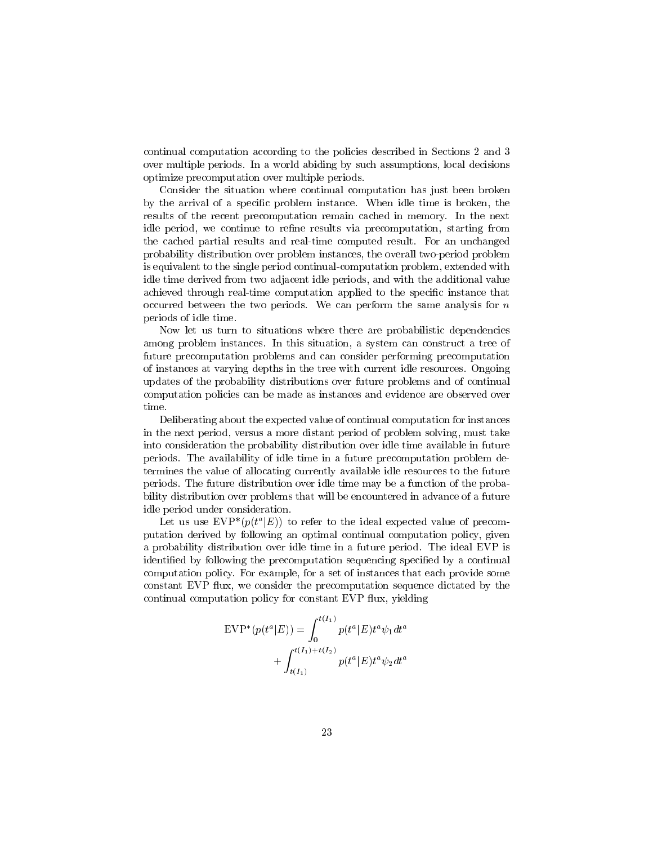continual computation according to the policies described in Sections 2 and 3 over multiple periods. In a world abiding by such assumptions, local decisions optimize precomputation over multiple periods.

Consider the situation where continual computation has just been broken by the arrival of a specic problem instance. When idle time is broken, the results of the recent precomputation remain cached in memory. In the next idle period, we continue to refine results via precomputation, starting from the cached partial results and real-time computed result. For an unchanged probability distribution over problem instances, the overall two-period problem is equivalent to the single period continual-computation problem, extended with idle time derived from two adjacent idle periods, and with the additional value achieved through real-time computation applied to the specific instance that occurred between the two periods. We can perform the same analysis for  $n$ periods of idle time.

Now let us turn to situations where there are probabilistic dependencies among problem instances. In this situation, a system can construct a tree of future precomputation problems and can consider performing precomputation of instances at varying depths in the tree with current idle resources. Ongoing updates of the probability distributions over future problems and of continual computation policies can be made as instances and evidence are observed over time.

Deliberating about the expected value of continual computation for instances in the next period, versus a more distant period of problem solving, must take into consideration the probability distribution over idle time available in future periods. The availability of idle time in a future precomputation problem determines the value of allocating currently available idle resources to the future periods. The future distribution over idle time may be a function of the probability distribution over problems that will be encountered in advance of a future idle period under consideration.

Let us use  $E$  v  $F^+(p(t||E))$  to refer to the ideal expected value of precomputation derived by following an optimal continual computation policy, given a probability distribution over idle time in a future period. The ideal EVP is identified by following the precomputation sequencing specified by a continual computation policy. For example, for a set of instances that each provide some constant EVP ux, we consider the precomputation sequence dictated by the continual computation policy for constant EVP flux, yielding

$$
EVP^*(p(t^a|E)) = \int_0^{t(I_1)} p(t^a|E)t^a \psi_1 dt^a
$$
  
+ 
$$
\int_{t(I_1)}^{t(I_1)+t(I_2)} p(t^a|E)t^a \psi_2 dt^a
$$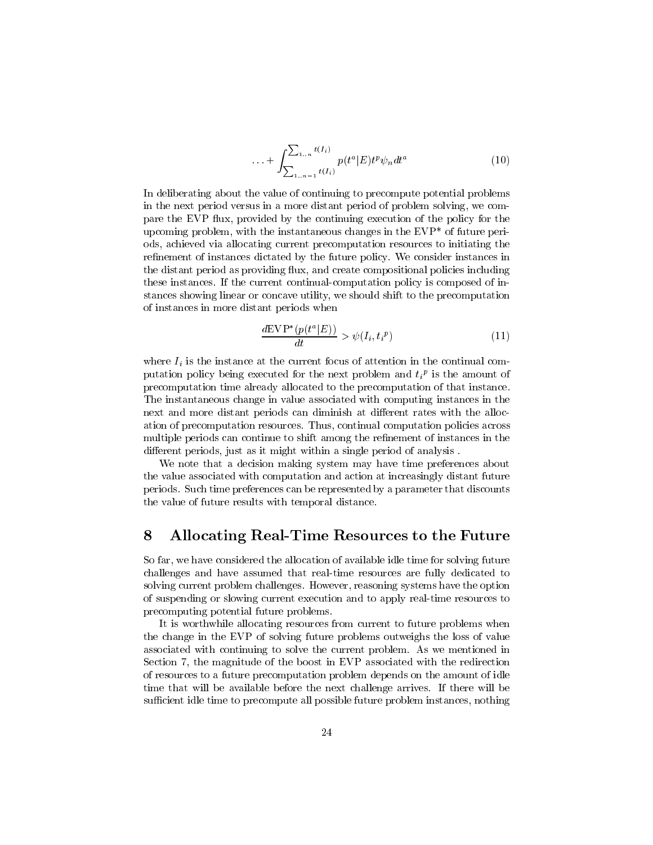$$
\ldots + \int_{\sum_{1+n-1} t(I_i)}^{\sum_{1+n} t(I_i)} p(t^a | E) t^p \psi_n dt^a \tag{10}
$$

In deliberating about the value of continuing to precompute potential problems in the next period versus in a more distant period of problem solving, we compare the EVP 
ux, provided by the continuing execution of the policy for the upcoming problem, with the instantaneous changes in the EVP\* of future periods, achieved via allocating current precomputation resources to initiating the refinement of instances dictated by the future policy. We consider instances in the distant period as providing flux, and create compositional policies including these instances. If the current continual-computation policy is composed of instances showing linear or concave utility, we should shift to the precomputation of instances in more distant periods when

$$
\frac{d\text{EVP}^*(p(t^a|E))}{dt} > \psi(I_i, t_i^p)
$$
\n(11)

where  $I_i$  is the instance at the current focus of attention in the continual computation policy being executed for the next problem and  $t_i^F$  is the amount of precomputation time already allocated to the precomputation of that instance. The instantaneous change in value associated with computing instances in the next and more distant periods can diminish at different rates with the allocation of precomputation resources. Thus, continual computation policies across multiple periods can continue to shift among the refinement of instances in the different periods, just as it might within a single period of analysis.

We note that a decision making system mayhave time preferences about the value associated with computation and action at increasingly distant future periods. Such time preferences can be represented by a parameter that discounts the value of future results with temporal distance.

#### 8 8 Allocating Real-Time Resources to the Future

So far, we have considered the allocation of available idle time for solving future challenges and have assumed that real-time resources are fully dedicated to solving current problem challenges. However, reasoning systems have the option of suspending or slowing current execution and to apply real-time resources to precomputing potential future problems.

It is worthwhile allocating resources from current to future problems when the change in the EVP of solving future problems outweighs the loss of value associated with continuing to solve the current problem. As we mentioned in Section 7, the magnitude of the boost in EVP associated with the redirection of resources to a future precomputation problem depends on the amount of idle time that will be available before the next challenge arrives. If there will be sufficient idle time to precompute all possible future problem instances, nothing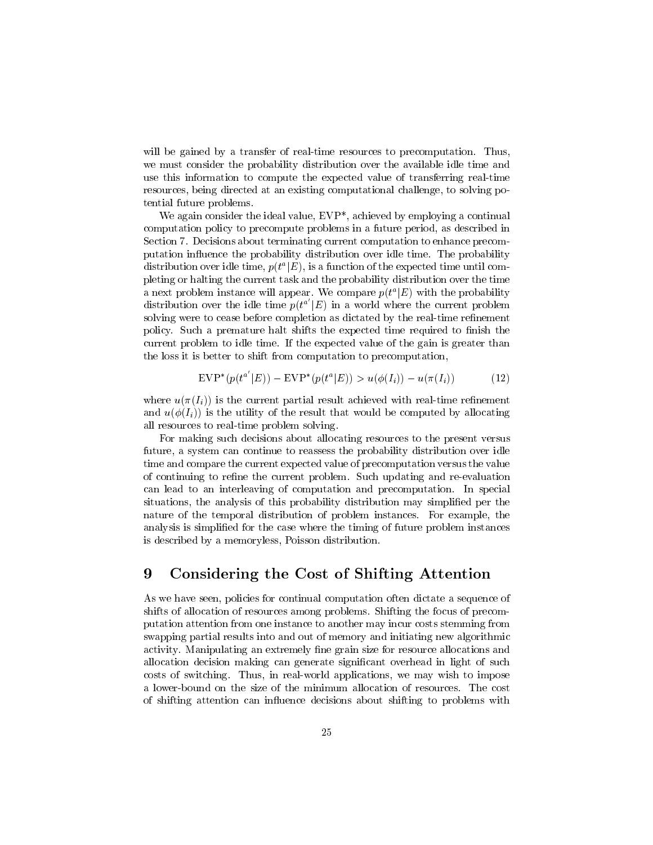will be gained by a transfer of real-time resources to precomputation. Thus, we must consider the probability distribution over the available idle time and use this information to compute the expected value of transferring real-time resources, being directed at an existing computational challenge, to solving potential future problems.

We again consider the ideal value,  $EVP^*$ , achieved by employing a continual computation policy to precompute problems in a future period, as described in Section 7. Decisions about terminating current computation to enhance precomputation influence the probability distribution over idle time. The probability distribution over idle time,  $p(t^*|\mathit{E})$ , is a function of the expected time until completing or halting the current task and the probability distribution over the time a next problem instance will appear. We compare  $p(\iota^*|\mathcal{L})$  with the probability distribution over the idle time  $p(t^{a'}|E)$  in a world where the current problem solving were to cease before completion as dictated by the real-time refinement policy. Such a premature halt shifts the expected time required to finish the current problem to idle time. If the expected value of the gain is greater than the loss it is better to shift from computation to precomputation,

$$
EVP^*(p(t^{a'}|E)) - EVP^*(p(t^a|E)) > u(\phi(I_i)) - u(\pi(I_i))
$$
\n(12)

where  $u(\pi(I_i))$  is the current partial result achieved with real-time refinement and  $u(\phi(I_i))$  is the utility of the result that would be computed by allocating all resources to real-time problem solving.

For making such decisions about allocating resources to the present versus future, a system can continue to reassess the probability distribution over idle time and compare the current expected value of precomputation versus the value of continuing to refine the current problem. Such updating and re-evaluation can lead to an interleaving of computation and precomputation. In special situations, the analysis of this probability distribution may simplified per the nature of the temporal distribution of problem instances. For example, the analysis is simplied for the case where the timing of future problem instances is described by a memoryless, Poisson distribution.

#### 9 9 Considering the Cost of Shifting Attention

As we have seen, policies for continual computation often dictate a sequence of shifts of allocation of resources among problems. Shifting the focus of precomputation attention from one instance to another may incur costs stemming from swapping partial results into and out of memory and initiating new algorithmic activity. Manipulating an extremely fine grain size for resource allocations and allocation decision making can generate significant overhead in light of such costs of switching. Thus, in real-world applications, we may wish to impose a lower-bound on the size of the minimum allocation of resources. The cost of shifting attention can in
uence decisions about shifting to problems with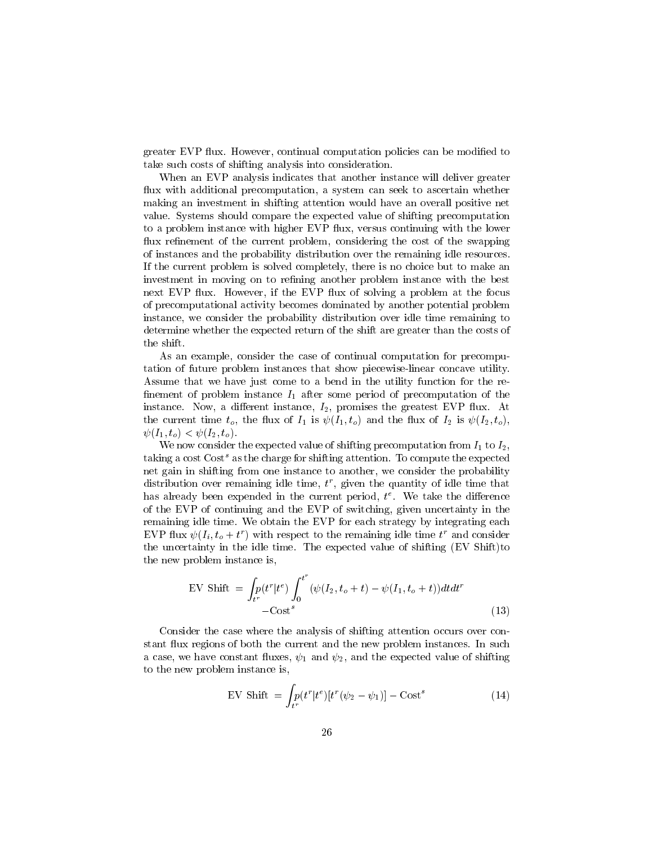greater EVP 
ux. However, continual computation policies can be modied to take such costs of shifting analysis into consideration.

When an EVP analysis indicates that another instance will deliver greater flux with additional precomputation, a system can seek to ascertain whether making an investment in shifting attention would have an overall positive net value. Systems should compare the expected value of shifting precomputation to a problem instance with higher EVP flux, versus continuing with the lower flux refinement of the current problem, considering the cost of the swapping of instances and the probability distribution over the remaining idle resources. If the current problem is solved completely, there is no choice but to make an investment in moving on to refining another problem instance with the best next EVP flux. However, if the EVP flux of solving a problem at the focus of precomputational activity becomes dominated by another potential problem instance, we consider the probability distribution over idle time remaining to determine whether the expected return of the shift are greater than the costs of the shift.

As an example, consider the case of continual computation for precomputation of future problem instances that show piecewise-linear concave utility. Assume that we have just come to a bend in the utility function for the re finement of problem instance  $I_1$  after some period of precomputation of the instance. Now, a different instance,  $I_2$ , promises the greatest EVP flux. At the current time  $t_o$ , the flux of  $I_1$  is  $\psi(I_1, t_o)$  and the flux of  $I_2$  is  $\psi(I_2, t_o)$ ,  $\psi(I_1, t_o) < \psi(I_2, t_o).$ 

We now consider the expected value of shifting precomputation from  $I_1$  to  $I_2$ , taking a cost  $\text{Cost}^s$  as the charge for shifting attention. To compute the expected net gain in shifting from one instance to another, we consider the probability distribution over remaining idle time,  $\iota$  , given the quantity of idle time that  $\max$  already been expended in the current period,  $\iota$  . We take the difference of the EVP of continuing and the EVP of switching, given uncertainty in the remaining idle time. We obtain the EVP for each strategy by integrating each EVP flux  $\psi(I_i, t_o + t^r)$  with respect to the remaining idle time  $t^r$  and consider the uncertainty in the idle time. The expected value of shifting (EV Shift)to the new problem instance is,

$$
\text{EV Shift} = \int_{t^r} p(t^r | t^e) \int_0^{t^r} (\psi(I_2, t_o + t) - \psi(I_1, t_o + t)) dt dt^r - \text{Cost}^s \tag{13}
$$

Consider the case where the analysis of shifting attention occurs over constant flux regions of both the current and the new problem instances. In such a case, we have constant fluxes,  $\psi_1$  and  $\psi_2$ , and the expected value of shifting to the new problem instance is,

$$
EV Shift = \int_{t^r} p(t^r|t^e) [t^r(\psi_2 - \psi_1)] - Cost^s \tag{14}
$$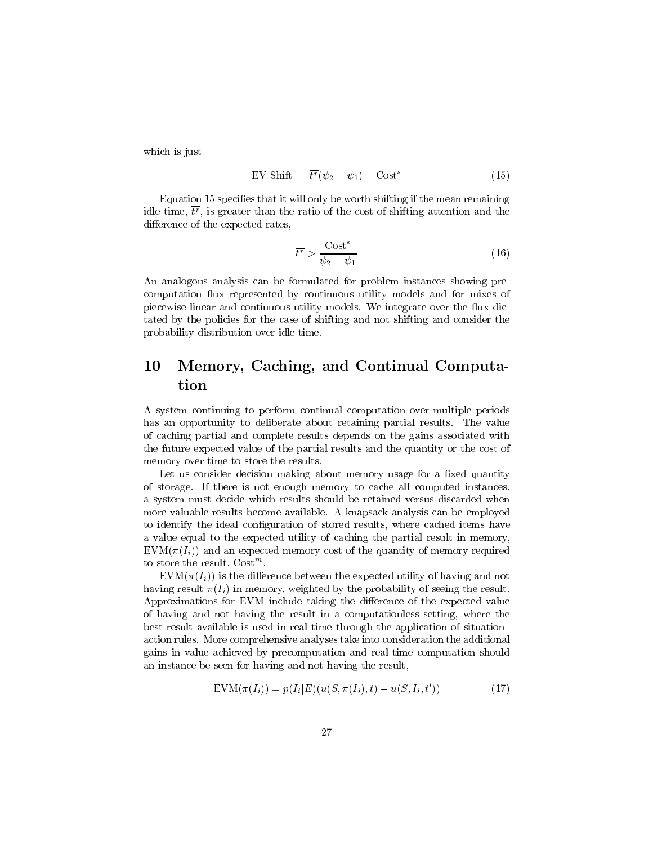which is just

$$
EV Shift = \overline{t^r}(\psi_2 - \psi_1) - Cost^s \tag{15}
$$

Equation 15 species that it will only be worth shifting if the mean remaining rule time,  $t$ , is greater than the ratio or the cost or similarly attention and the difference of the expected rates,

$$
\overline{t^r} > \frac{\text{Cost}^s}{\psi_2 - \psi_1} \tag{16}
$$

An analogous analysis can be formulated for problem instances showing precomputation flux represented by continuous utility models and for mixes of piecewise-linear and continuous utility models. We integrate over the flux dictated by the policies for the case of shifting and not shifting and consider the probability distribution over idle time.

# 10 Memory, Caching, and Continual Computa-

A system continuing to perform continual computation over multiple periods has an opportunity to deliberate about retaining partial results. The value of caching partial and complete results depends on the gains associated with the future expected value of the partial results and the quantity or the cost of memory over time to store the results.

Let us consider decision making about memory usage for a fixed quantity of storage. If there is not enough memory to cache all computed instances, a system must decide which results should be retained versus discarded when more valuable results become available. A knapsack analysis can be employed to identify the ideal configuration of stored results, where cached items have a value equal to the expected utility of caching the partial result in memory,  $EVM(\pi(I_i))$  and an expected memory cost of the quantity of memory required to store the result,  $\text{Cost}^m$ .

 $EVM(\pi(I_i))$  is the difference between the expected utility of having and not having result  $\pi(I_i)$  in memory, weighted by the probability of seeing the result. Approximations for EVM include taking the difference of the expected value of having and not having the result in a computationless setting, where the best result available is used in real time through the application of situation{ action rules. More comprehensive analyses take into consideration the additional gains in value achieved by precomputation and real-time computation should an instance be seen for having and not having the result,

$$
EVM(\pi(I_i)) = p(I_i|E)(u(S, \pi(I_i), t) - u(S, I_i, t'))
$$
\n(17)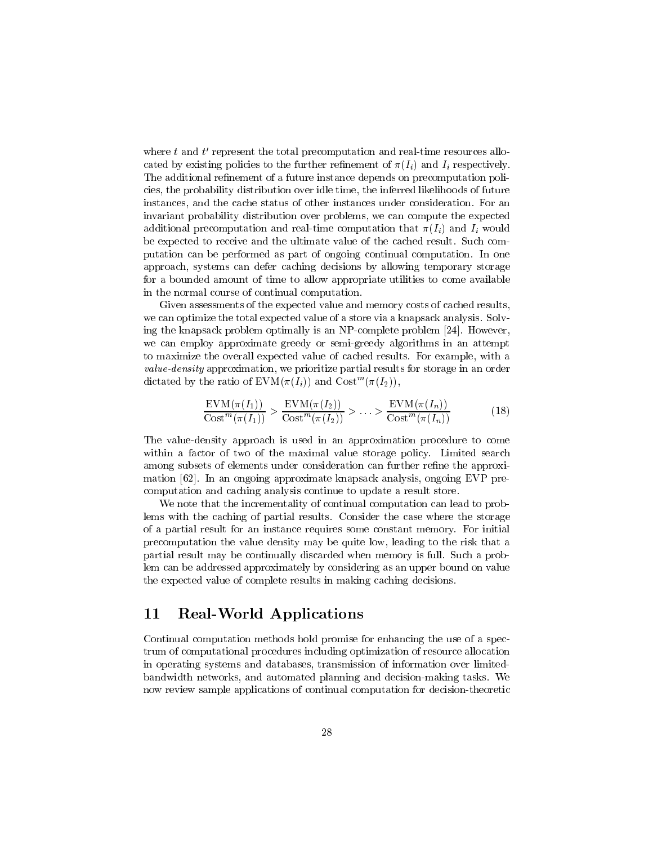where  $\iota$  and  $\iota$  represent the total precomputation and real-time resources allocated by existing policies to the further refinement of  $\pi(I_i)$  and  $I_i$  respectively. The additional refinement of a future instance depends on precomputation policies, the probability distribution over idle time, the inferred likelihoods of future instances, and the cache status of other instances under consideration. For an invariant probability distribution over problems, we can compute the expected additional precomputation and real-time computation that  $\pi(I_i)$  and  $I_i$  would be expected to receive and the ultimate value of the cached result. Such computation can be performed as part of ongoing continual computation. In one approach, systems can defer caching decisions by allowing temporary storage for a bounded amount of time to allow appropriate utilities to come available in the normal course of continual computation.

Given assessments of the expected value and memory costs of cached results, we can optimize the total expected value of a store via a knapsack analysis. Solving the knapsack problem optimally is an NP-complete problem [24]. However, we can employ approximate greedy or semi-greedy algorithms in an attempt to maximize the overall expected value of cached results. For example, with a value-density approximation, we prioritize partial results for storage in an order dictated by the ratio of  $EVM(\pi(I_i))$  and  $Cost^{\prime\prime}(\pi(I_2))$ ,

$$
\frac{\text{EVM}(\pi(I_1))}{\text{Cost}^m(\pi(I_1))} > \frac{\text{EVM}(\pi(I_2))}{\text{Cost}^m(\pi(I_2))} > \dots > \frac{\text{EVM}(\pi(I_n))}{\text{Cost}^m(\pi(I_n))}
$$
(18)

The value-density approach is used in an approximation procedure to come within a factor of two of the maximal value storage policy. Limited search among subsets of elements under consideration can further refine the approximation [62]. In an ongoing approximate knapsack analysis, ongoing EVP precomputation and caching analysis continue to update a result store.

We note that the incrementality of continual computation can lead to problems with the caching of partial results. Consider the case where the storage of a partial result for an instance requires some constant memory. For initial precomputation the value density may be quite low, leading to the risk that a partial result may be continually discarded when memory is full. Such a problem can be addressed approximately by considering as an upper bound on value the expected value of complete results in making caching decisions.

### 11 Real-World Applications

Continual computation methods hold promise for enhancing the use of a spectrum of computational procedures including optimization of resource allocation in operating systems and databases, transmission of information over limitedbandwidth networks, and automated planning and decision-making tasks. We now review sample applications of continual computation for decision-theoretic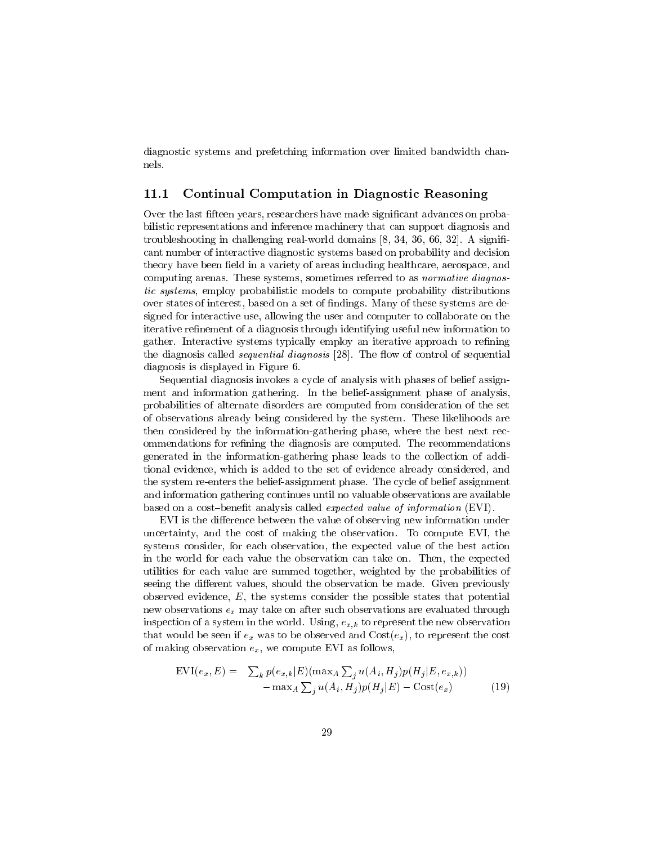diagnostic systems and prefetching information over limited bandwidth channels.

### 11.1 Continual Computation in Diagnostic Reasoning

Over the last fteen years, researchers have made signicant advances on probabilistic representations and inference machinery that can support diagnosis and troubleshooting in challenging real-world domains  $[8, 34, 36, 66, 32]$ . A significant number of interactive diagnostic systems based on probability and decision theory have been field in a variety of areas including healthcare, aerospace, and computing arenas. These systems, sometimes referred to as *normative diagnos*tic systems, employ probabilistic models to compute probability distributions over states of interest, based on a set of ndings. Many of these systems are designed for interactive use, allowing the user and computer to collaborate on the iterative refinement of a diagnosis through identifying useful new information to gather. Interactive systems typically employ an iterative approach to refining the diagnosis called *sequential diagnosis* [28]. The flow of control of sequential diagnosis is displayed in Figure 6.

Sequential diagnosis invokes a cycle of analysis with phases of belief assignment and information gathering. In the belief-assignment phase of analysis, probabilities of alternate disorders are computed from consideration of the set of observations already being considered by the system. These likelihoods are then considered by the information-gathering phase, where the best next recommendations for refining the diagnosis are computed. The recommendations generated in the information-gathering phase leads to the collection of additional evidence, which is added to the set of evidence already considered, and the system re-enters the belief-assignment phase. The cycle of belief assignment and information gathering continues until no valuable observations are available based on a cost-benefit analysis called *expected value of information* (EVI).

EVI is the difference between the value of observing new information under uncertainty, and the cost of making the observation. To compute EVI, the systems consider, for each observation, the expected value of the best action in the world for each value the observation can take on. Then, the expected utilities for each value are summed together, weighted by the probabilities of seeing the different values, should the observation be made. Given previously observed evidence,  $E$ , the systems consider the possible states that potential new observations  $e_x$  may take on after such observations are evaluated through inspection of a system in the world. Using,  $e_{x,k}$  to represent the new observation that would be seen if  $e_x$  was to be observed and  $Cost(e_x)$ , to represent the cost of making observation  $e_x$ , we compute EVI as follows,

$$
\text{EVI}(e_x, E) = \sum_k p(e_{x,k}|E) (\max_A \sum_j u(A_i, H_j) p(H_j|E, e_{x,k})) - \max_A \sum_j u(A_i, H_j) p(H_j|E) - \text{Cost}(e_x) \tag{19}
$$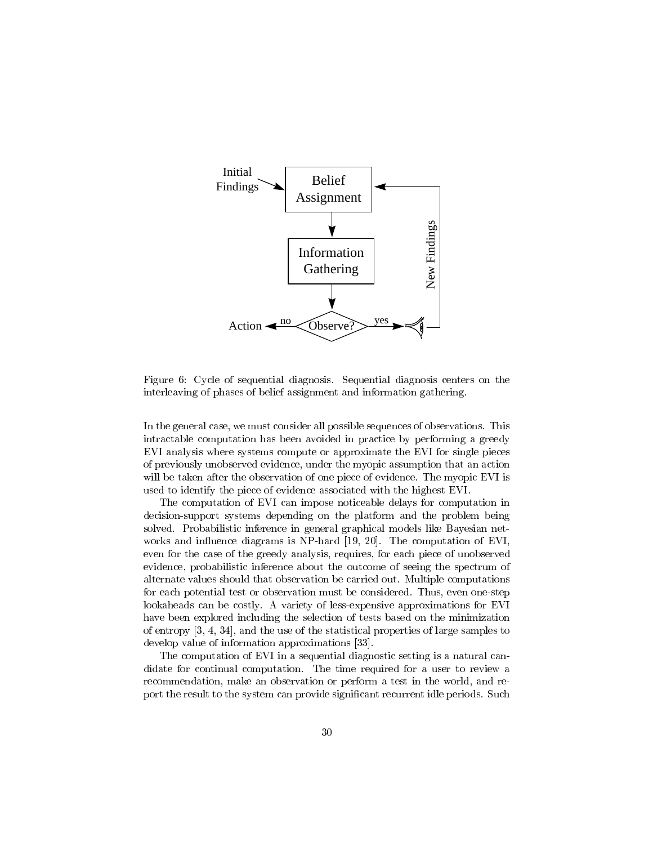

Figure 6: Cycle of sequential diagnosis. Sequential diagnosis centers on the interleaving of phases of belief assignment and information gathering.

In the general case, we must consider all possible sequences of observations. This intractable computation has been avoided in practice by performing a greedy EVI analysis where systems compute or approximate the EVI for single pieces of previously unobserved evidence, under the myopic assumption that an action will be taken after the observation of one piece of evidence. The myopic EVI is used to identify the piece of evidence associated with the highest EVI.

The computation of EVI can impose noticeable delays for computation in decision-support systems depending on the platform and the problem being solved. Probabilistic inference in general graphical models like Bayesian net works and in
uence diagrams is NP-hard [19,20]. The computation of EVI, even for the case of the greedy analysis, requires, for each piece of unobserved evidence, probabilistic inference about the outcome of seeing the spectrum of alternate values should that observation be carried out. Multiple computations for each potential test or observation must be considered. Thus, even one-step lookaheads can be costly. A variety of less-expensive approximations for EVI have been explored including the selection of tests based on the minimization of entropy [3, 4, 34], and the use of the statistical properties of large samples to develop value of information approximations [33].

The computation of EVI in a sequential diagnostic setting is a natural candidate for continual computation. The time required for a user to review a recommendation, make an observation or perform a test in the world, and report the result to the system can provide signicant recurrent idle periods. Such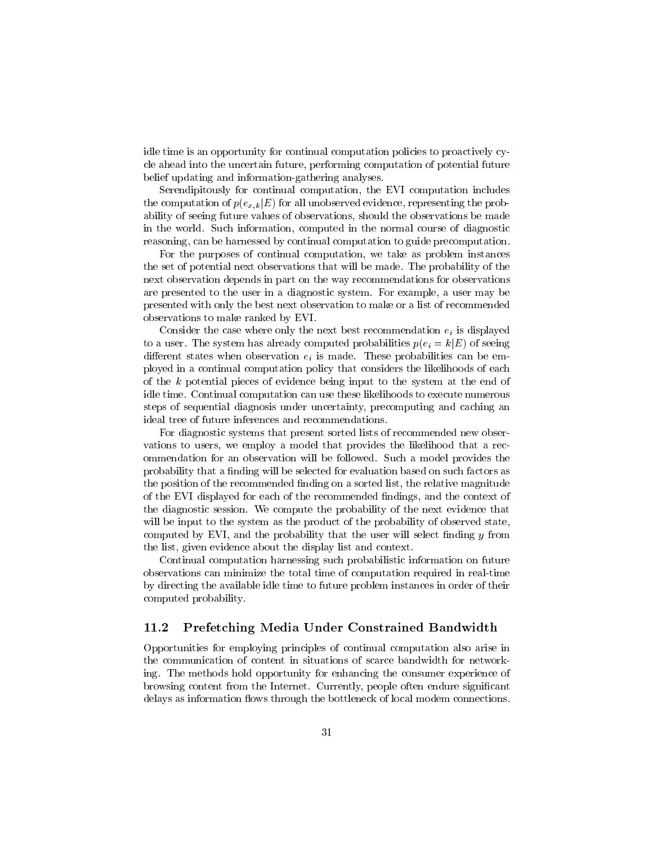idle time is an opportunity for continual computation policies to proactively cycle ahead into the uncertain future, performing computation of potential future belief updating and information-gathering analyses.

Serendipitously for continual computation, the EVI computation includes the computation of  $p(e_{x,k}|E)$  for all unobserved evidence, representing the probability of seeing future values of observations, should the observations be made in the world. Such information, computed in the normal course of diagnostic reasoning, can be harnessed by continual computation to guide precomputation.

For the purposes of continual computation, we take as problem instances the set of potential next observations that will be made. The probability of the next observation depends in part on the way recommendations for observations are presented to the user in a diagnostic system. For example, a user may be presented with only the best next observation to make or a list of recommended observations to make ranked by EVI.

Consider the case where only the next best recommendation  $e_i$  is displayed to a user. The system has already computed probabilities  $p(e_i = k|E)$  of seeing different states when observation  $e_i$  is made. These probabilities can be employed in a continual computation policy that considers the likelihoods of each of the k potential pieces of evidence being input to the system at the end of idle time. Continual computation can use these likelihoods to execute numerous steps of sequential diagnosis under uncertainty, precomputing and caching an ideal tree of future inferences and recommendations.

For diagnostic systems that present sorted lists of recommended new obser vations to users, we employ a model that provides the likelihood that a recommendation for an observation will be followed. Such a model provides the probability that a finding will be selected for evaluation based on such factors as the position of the recommended finding on a sorted list, the relative magnitude of the EVI displayed for each of the recommended ndings, and the context of the diagnostic session. We compute the probability of the next evidence that will be input to the system as the product of the probability of observed state, computed by EVI, and the probability that the user will select finding  $y$  from the list, given evidence about the display list and context.

Continual computation harnessing such probabilistic information on future observations can minimize the total time of computation required in real-time by directing the available idle time to future problem instances in order of their computed probability.

### 11.2 Prefetching Media Under Constrained Bandwidth

Opportunities for employing principles of continual computation also arise in the communication of content in situations of scarce bandwidth for networking. The methods hold opportunity for enhancing the consumer experience of browsing content from the Internet. Currently, people often endure significant delays as information flows through the bottleneck of local modem connections.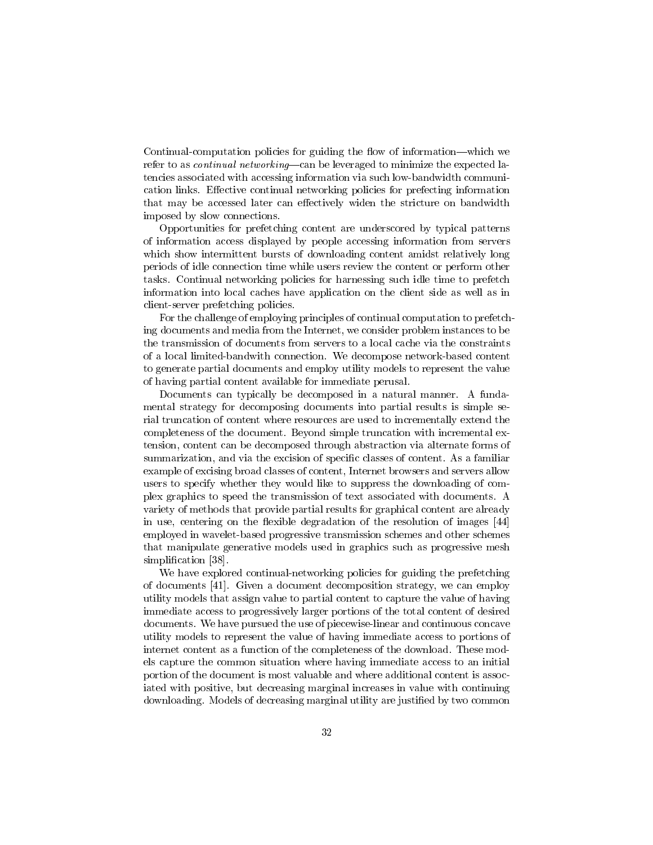Continual-computation policies for guiding the flow of information—which we refer to as *continual networking*—can be leveraged to minimize the expected latencies associated with accessing information via such low-bandwidth communication links. Effective continual networking policies for prefecting information that may be accessed later can effectively widen the stricture on bandwidth imposed by slow connections.

Opportunities for prefetching content are underscored by typical patterns of information access displayed by people accessing information from servers which show intermittent bursts of downloading content amidst relatively long periods of idle connection time while users review the content or perform other tasks. Continual networking policies for harnessing such idle time to prefetch information into local caches have application on the client side as well as in client-server prefetching policies.

For the challenge of employing principles of continual computation to prefetching documents and media from the Internet, we consider problem instances to be the transmission of documents from servers to a local cache via the constraints of a local limited-bandwith connection. We decompose network-based content to generate partial documents and employ utility models to represent the value of having partial content available for immediate perusal.

Documents can typically be decomposed in a natural manner. A fundamental strategy for decomposing documents into partial results is simple serial truncation of content where resources are used to incrementally extend the completeness of the document. Beyond simple truncation with incremental extension, content can be decomposed through abstraction via alternate forms of summarization, and via the excision of specific classes of content. As a familiar example of excising broad classes of content, Internet browsers and servers allow users to specify whether they would like to suppress the downloading of complex graphics to speed the transmission of text associated with documents. A variety of methods that provide partial results for graphical content are already in use, centering on the flexible degradation of the resolution of images [44] employed in wavelet-based progressive transmission schemes and other schemes that manipulate generative models used in graphics such as progressive mesh simplication [38].

We have explored continual-networking policies for guiding the prefetching of documents [41]. Given a document decomposition strategy, we can employ utility models that assign value to partial content to capture the value of having immediate access to progressively larger portions of the total content of desired documents. We have pursued the use of piecewise-linear and continuous concave utility models to represent the value of having immediate access to portions of internet content as a function of the completeness of the download. These models capture the common situation where having immediate access to an initial portion of the document is most valuable and where additional content is associated with positive, but decreasing marginal increases in value with continuing downloading. Models of decreasing marginal utility are justified by two common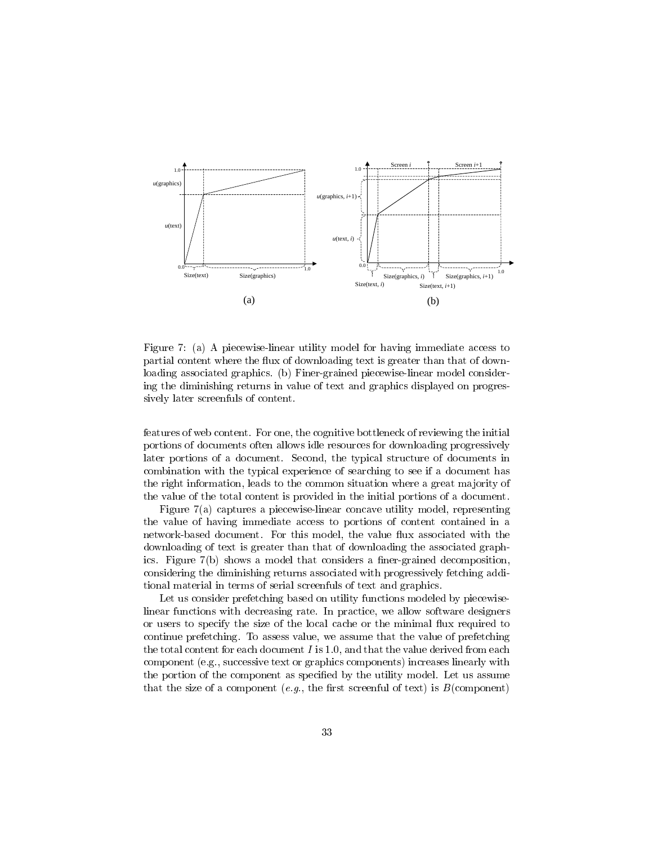

Figure 7: (a) A piecewise-linear utility model for having immediate access to partial content where the flux of downloading text is greater than that of downloading associated graphics. (b) Finer-grained piecewise-linear model considering the diminishing returns in value of text and graphics displayed on progressively later screenfuls of content.

features of web content. For one, the cognitive bottleneck of reviewing the initial portions of documents often allows idle resources for downloading progressively later portions of a document. Second, the typical structure of documents in combination with the typical experience of searching to see if a document has the right information, leads to the common situation where a great ma jority of the value of the total content is provided in the initial portions of a document.

Figure 7(a) captures a piecewise-linear concave utility model, representing the value of having immediate access to portions of content contained in a network-based document. For this model, the value flux associated with the downloading of text is greater than that of downloading the associated graphics. Figure 7(b) shows a model that considers a finer-grained decomposition, considering the diminishing returns associated with progressively fetching additional material in terms of serial screenfuls of text and graphics.

Let us consider prefetching based on utility functions modeled by piecewiselinear functions with decreasing rate. In practice, we allow software designers or users to specify the size of the local cache or the minimal flux required to continue prefetching. To assess value, we assume that the value of prefetching the total content for each document  $I$  is 1.0, and that the value derived from each component (e.g., successive text or graphics components) increases linearly with the portion of the component as specified by the utility model. Let us assume that the size of a component (e.g., the first screenful of text) is  $B$ (component)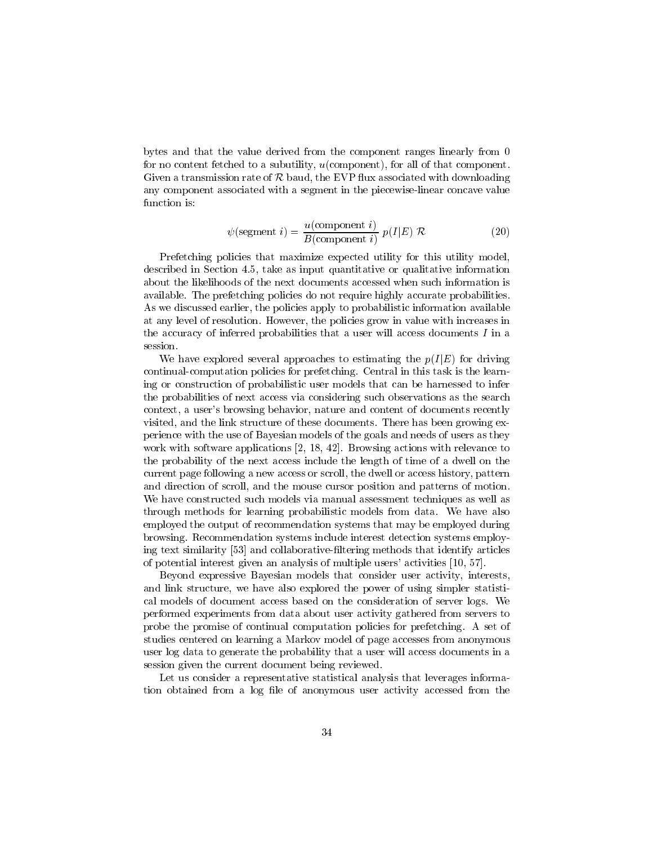bytes and that the value derived from the component ranges linearly from 0 for no content fetched to a subutility,  $u$ (component), for all of that component. Given a transmission rate of  $R$  baud, the EVP flux associated with downloading any component associated with a segment in the piecewise-linear concave value function is:

$$
\psi(\text{segment } i) = \frac{u(\text{component } i)}{B(\text{component } i)} p(I|E) \mathcal{R}
$$
\n(20)

Prefetching policies that maximize expected utility for this utility model, described in Section 4.5, take as input quantitative or qualitative information about the likelihoods of the next documents accessed when such information is available. The prefetching policies do not require highly accurate probabilities. As we discussed earlier, the policies apply to probabilistic information available at any level of resolution. However, the policies grow in value with increases in the accuracy of inferred probabilities that a user will access documents  $I$  in a session.

We have explored several approaches to estimating the  $p(I|E)$  for driving continual-computation policies for prefetching. Central in this task is the learning or construction of probabilistic user models that can be harnessed to infer the probabilities of next access via considering such observations as the search context, a user's browsing behavior, nature and content of documents recently visited, and the link structure of these documents. There has been growing experience with the use of Bayesian models of the goals and needs of users as they work with software applications [2, 18, 42]. Browsing actions with relevance to the probability of the next access include the length of time of a dwell on the current page following a new access or scroll, the dwell or access history, pattern and direction of scroll, and the mouse cursor position and patterns of motion. We have constructed such models via manual assessment techniques as well as through methods for learning probabilistic models from data. We have also employed the output of recommendation systems that may be employed during browsing. Recommendation systems include interest detection systems employing text similarity [53] and collaborative-ltering methods that identify articles of potential interest given an analysis of multiple users' activities [10, 57].

Beyond expressive Bayesian models that consider user activity, interests, and link structure, we have also explored the power of using simpler statistical models of document access based on the consideration of server logs. We performed experiments from data about user activity gathered from servers to probe the promise of continual computation policies for prefetching. A set of studies centered on learning a Markov model of page accesses from anonymous user log data to generate the probability that a user will access documents in a session given the current document being reviewed.

Let us consider a representative statistical analysis that leverages information obtained from a log file of anonymous user activity accessed from the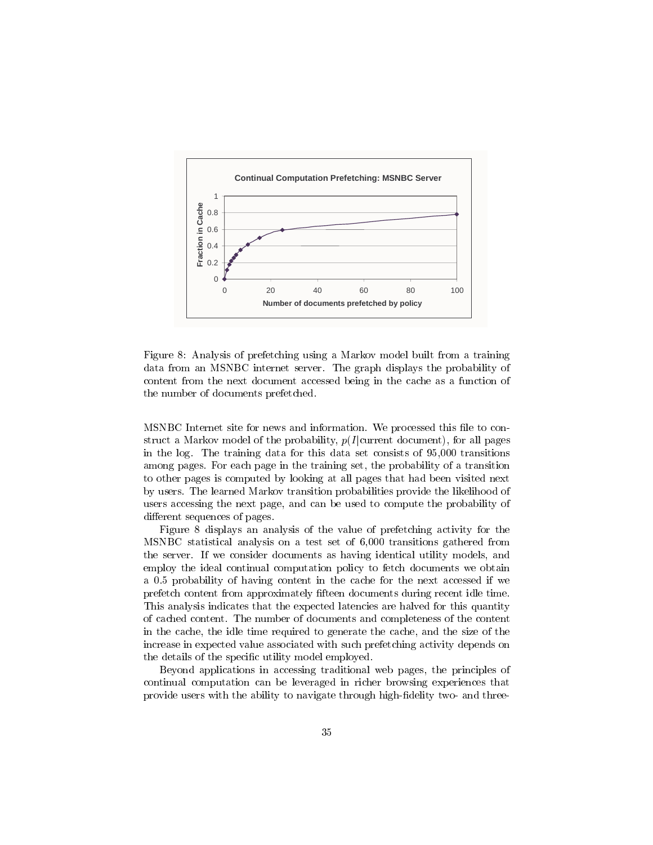

Figure 8: Analysis of prefetching using a Markov model built from a training data from an MSNBC internet server. The graph displays the probability of content from the next document accessed being in the cache as a function of the number of documents prefetched.

MSNBC Internet site for news and information. We processed this file to construct a Markov model of the probability,  $p(I|$  current document), for all pages in the log. The training data for this data set consists of 95,000 transitions among pages. For each page in the training set, the probability of a transition to other pages is computed by looking at all pages that had been visited next by users. The learned Markov transition probabilities provide the likelihood of users accessing the next page, and can be used to compute the probability of different sequences of pages.

Figure 8 displays an analysis of the value of prefetching activity for the MSNBC statistical analysis on a test set of 6,000 transitions gathered from the server. If we consider documents as having identical utility models, and employ the ideal continual computation policy to fetch documents we obtain a 0.5 probability of having content in the cache for the next accessed if we prefetch content from approximately fteen documents during recent idle time. This analysis indicates that the expected latencies are halved for this quantity of cached content. The number of documents and completeness of the content in the cache, the idle time required to generate the cache, and the size of the increase in expected value associated with such prefetching activity depends on the details of the specic utility model employed.

Beyond applications in accessing traditional web pages, the principles of continual computation can be leveraged in richer browsing experiences that provide users with the ability to navigate through high-delity two- and three-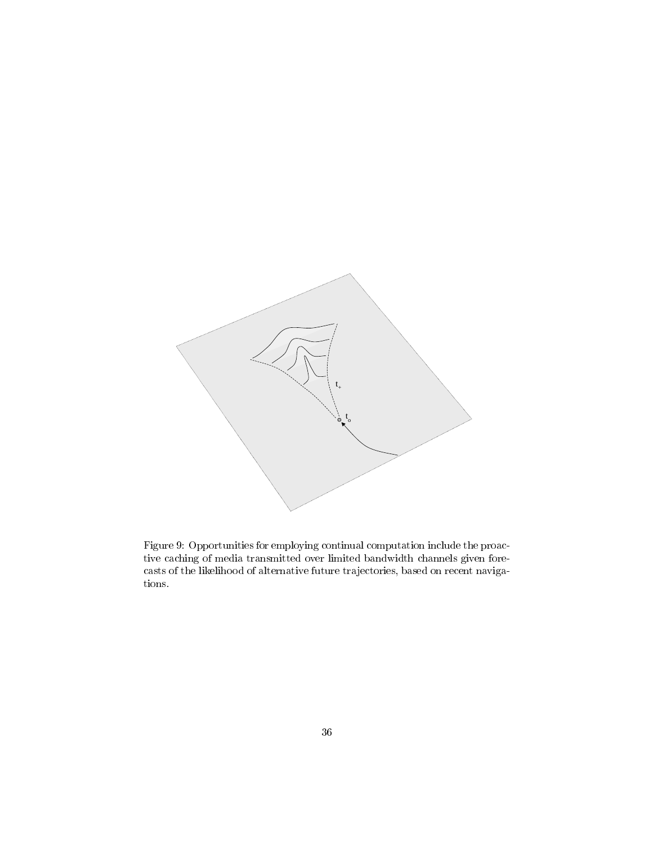

Figure 9: Opportunities for employing continual computation include the proactive caching of media transmitted over limited bandwidth channels given forecasts of the likelihood of alternative future tra jectories, based on recent navigations.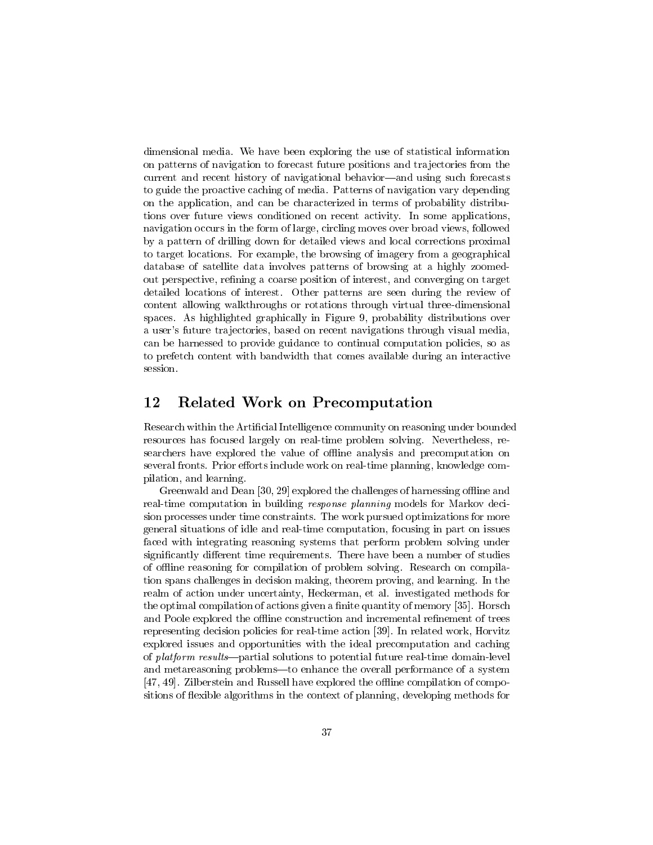dimensional media. We have been exploring the use of statistical information on patterns of navigation to forecast future positions and tra jectories from the current and recent history of navigational behavior—and using such forecasts to guide the proactive caching of media. Patterns of navigation vary depending on the application, and can be characterized in terms of probability distributions over future views conditioned on recent activity. In some applications, navigation occurs in the form of large, circling moves over broad views, followed by a pattern of drilling down for detailed views and local corrections proximal to target locations. For example, the browsing of imagery from a geographical database of satellite data involves patterns of browsing at a highly zoomedout perspective, refining a coarse position of interest, and converging on target detailed locations of interest. Other patterns are seen during the review of content allowing walkthroughs or rotations through virtual three-dimensional spaces. As highlighted graphically in Figure 9, probability distributions over a user's future trajectories, based on recent navigations through visual media, can be harnessed to provide guidance to continual computation policies, so as to prefetch content with bandwidth that comes available during an interactive session.

#### 12 12 Related Work on Precomputation

Research within the Articial Intelligence community on reasoning under bounded resources has focused largely on real-time problem solving. Nevertheless, researchers have explored the value of offline analysis and precomputation on several fronts. Prior efforts include work on real-time planning, knowledge compilation, and learning.

Greenwald and Dean  $[30, 29]$  explored the challenges of harnessing offline and real-time computation in building response planning models for Markov decision processes under time constraints. The work pursued optimizations for more general situations of idle and real-time computation, focusing in part on issues faced with integrating reasoning systems that perform problem solving under significantly different time requirements. There have been a number of studies of offline reasoning for compilation of problem solving. Research on compilation spans challenges in decision making, theorem proving, and learning. In the realm of action under uncertainty, Heckerman, et al. investigated methods for the optimal compilation of actions given a finite quantity of memory [35]. Horsch and Poole explored the offline construction and incremental refinement of trees representing decision policies for real-time action [39]. In related work, Horvitz explored issues and opportunities with the ideal precomputation and caching of *platform results*—partial solutions to potential future real-time domain-level and metareasoning problems—to enhance the overall performance of a system [47, 49]. Zilberstein and Russell have explored the offline compilation of compositions of flexible algorithms in the context of planning, developing methods for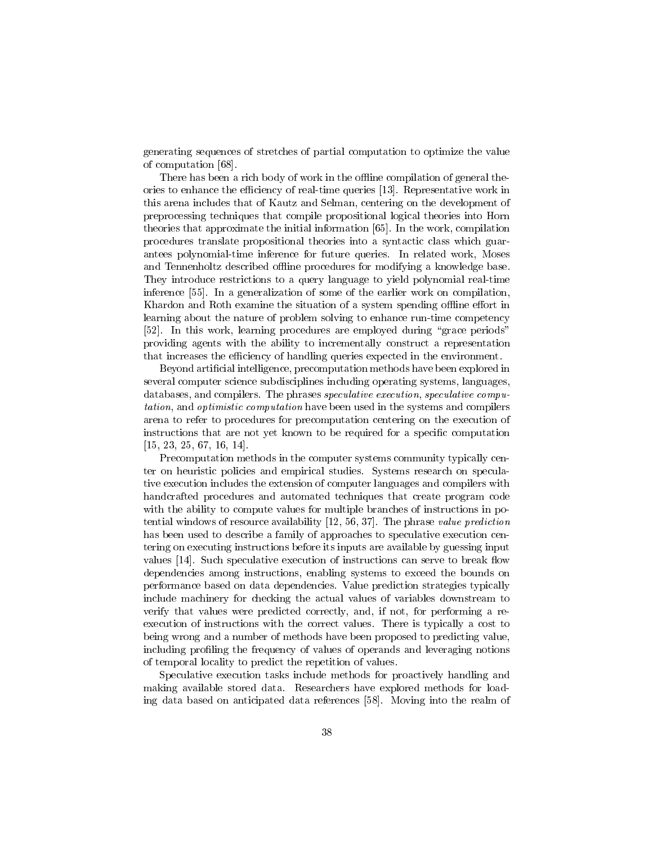generating sequences of stretches of partial computation to optimize the value of computation [68].

There has been a rich body of work in the offline compilation of general theories to enhance the efficiency of real-time queries [13]. Representative work in this arena includes that of Kautz and Selman, centering on the development of preprocessing techniques that compile propositional logical theories into Horn theories that approximate the initial information [65]. In the work, compilation procedures translate propositional theories into a syntactic class which guarantees polynomial-time inference for future queries. In related work, Moses and Tennenholtz described offline procedures for modifying a knowledge base. They introduce restrictions to a query language to yield polynomial real-time inference [55]. In a generalization of some of the earlier work on compilation, Khardon and Roth examine the situation of a system spending offline effort in learning about the nature of problem solving to enhance run-time competency [52]. In this work, learning procedures are employed during "grace periods" providing agents with the ability to incrementally construct a representation that increases the efficiency of handling queries expected in the environment.

Beyond artificial intelligence, precomputation methods have been explored in several computer science subdisciplines including operating systems, languages, databases, and compilers. The phrases *speculative execution*, *speculative compu*tation, and optimistic computation have been used in the systems and compilers arena to refer to procedures for precomputation centering on the execution of instructions that are not yet known to be required for a specic computation [15, 23, 25, 67, 16, 14].

Precomputation methods in the computer systems community typically center on heuristic policies and empirical studies. Systems research on speculative execution includes the extension of computer languages and compilers with handcrafted procedures and automated techniques that create program code with the ability to compute values for multiple branches of instructions in potential windows of resource availability [12, 56, 37]. The phrase value prediction has been used to describe a family of approaches to speculative execution centering on executing instructions before its inputs are available by guessing input values [14]. Such speculative execution of instructions can serve to break flow dependencies among instructions, enabling systems to exceed the bounds on performance based on data dependencies. Value prediction strategies typically include machinery for checking the actual values of variables downstream to verify that values were predicted correctly, and, if not, for performing a reexecution of instructions with the correct values. There is typically a cost to being wrong and a number of methods have been proposed to predicting value, including profiling the frequency of values of operands and leveraging notions of temporal locality to predict the repetition of values.

Speculative execution tasks include methods for proactively handling and making available stored data. Researchers have explored methods for loading data based on anticipated data references [58]. Moving into the realm of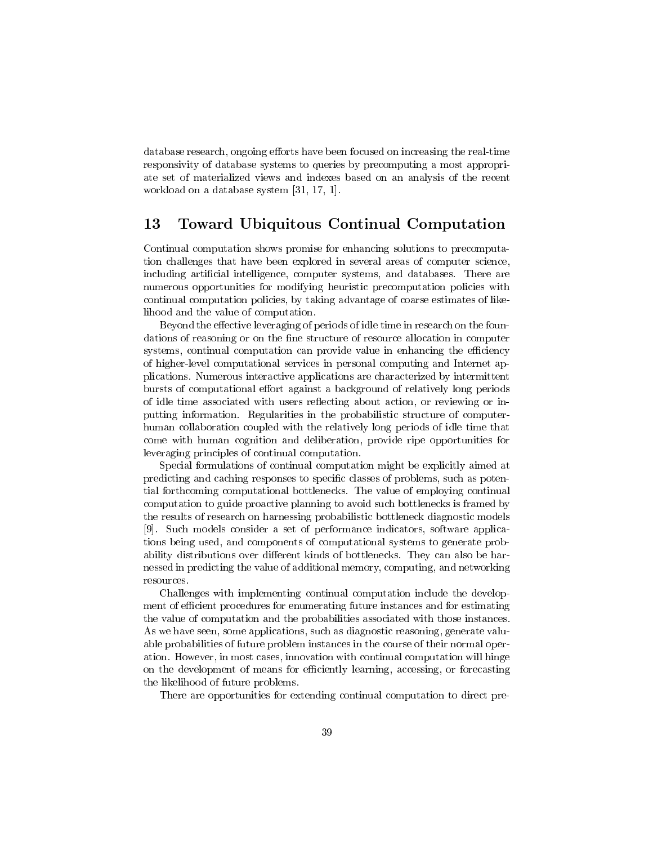database research, ongoing efforts have been focused on increasing the real-time responsivity of database systems to queries by precomputing a most appropriate set of materialized views and indexes based on an analysis of the recent workload on a database system [31, 17, 1].

#### 13 Toward Ubiquitous Continual Computation  $13\,$

Continual computation shows promise for enhancing solutions to precomputation challenges that have been explored in several areas of computer science, including articial intelligence, computer systems, and databases. There are numerous opportunities for modifying heuristic precomputation policies with continual computation policies, by taking advantage of coarse estimates of likelihood and the value of computation.

Beyond the effective leveraging of periods of idle time in research on the foundations of reasoning or on the fine structure of resource allocation in computer systems, continual computation can provide value in enhancing the efficiency of higher-level computational services in personal computing and Internet applications. Numerous interactive applications are characterized by intermittent bursts of computational effort against a background of relatively long periods of idle time associated with users reflecting about action, or reviewing or inputting information. Regularities in the probabilistic structure of computerhuman collaboration coupled with the relatively long periods of idle time that come with human cognition and deliberation, provide ripe opportunities for leveraging principles of continual computation.

Special formulations of continual computation might be explicitly aimed at predicting and caching responses to specic classes of problems, such as potential forthcoming computational bottlenecks. The value of employing continual computation to guide proactive planning to avoid such bottlenecks is framed by the results of research on harnessing probabilistic bottleneck diagnostic models [9]. Such models consider a set of performance indicators, software applications being used, and components of computational systems to generate probability distributions over different kinds of bottlenecks. They can also be harnessed in predicting the value of additional memory, computing, and networking resources.

Challenges with implementing continual computation include the development of efficient procedures for enumerating future instances and for estimating the value of computation and the probabilities associated with those instances. As we have seen, some applications, such as diagnostic reasoning, generate valuable probabilities of future problem instances in the course of their normal operation. However, in most cases, innovation with continual computation will hinge on the development of means for efficiently learning, accessing, or forecasting the likelihood of future problems.

There are opportunities for extending continual computation to direct pre-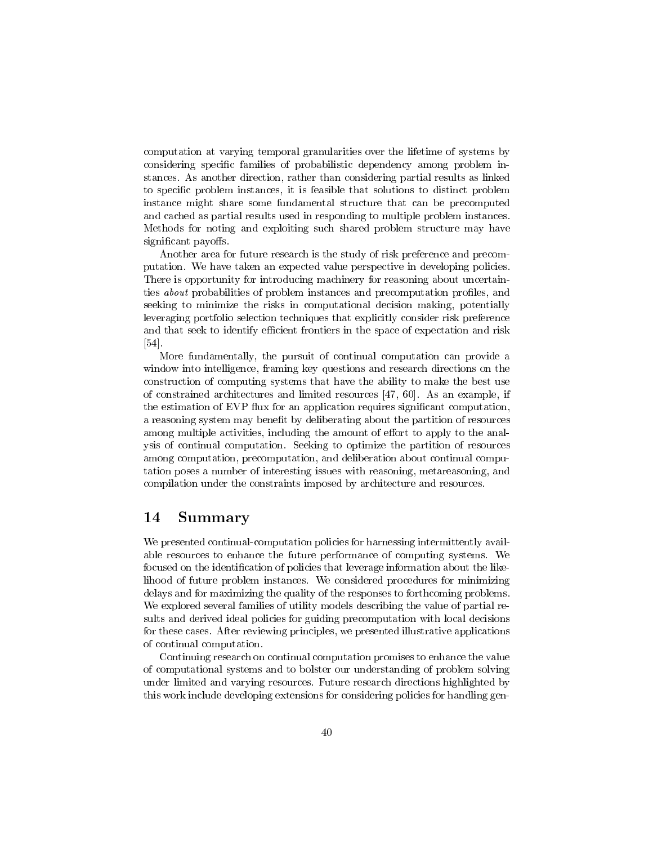computation at varying temporal granularities over the lifetime of systems by considering specic families of probabilistic dependency among problem instances. As another direction, rather than considering partial results as linked to specic problem instances, it is feasible that solutions to distinct problem instance might share some fundamental structure that can be precomputed and cached as partial results used in responding to multiple problem instances. Methods for noting and exploiting such shared problem structure may have significant payoffs.

Another area for future research is the study of risk preference and precomputation. We have taken an expected value perspective in developing policies. There is opportunity for introducing machinery for reasoning about uncertainties *about* probabilities of problem instances and precomputation profiles, and seeking to minimize the risks in computational decision making, potentially leveraging portfolio selection techniques that explicitly consider risk preference and that seek to identify efficient frontiers in the space of expectation and risk [54].

More fundamentally, the pursuit of continual computation can provide a window into intelligence, framing key questions and research directions on the construction of computing systems that have the ability to make the best use of constrained architectures and limited resources [47, 60]. As an example, if the estimation of EVP flux for an application requires significant computation, a reasoning system may benefit by deliberating about the partition of resources among multiple activities, including the amount of effort to apply to the analysis of continual computation. Seeking to optimize the partition of resources among computation, precomputation, and deliberation about continual computation poses a number of interesting issues with reasoning, metareasoning, and compilation under the constraints imposed by architecture and resources.

#### 14 Summary

We presented continual-computation policies for harnessing intermittently available resources to enhance the future performance of computing systems. We focused on the identication of policies that leverage information about the likelihood of future problem instances. We considered procedures for minimizing delays and for maximizing the quality of the responses to forthcoming problems. We explored several families of utility models describing the value of partial results and derived ideal policies for guiding precomputation with local decisions for these cases. After reviewing principles, we presented illustrative applications of continual computation.

Continuing research on continual computation promises to enhance the value of computational systems and to bolster our understanding of problem solving under limited and varying resources. Future research directions highlighted by this work include developing extensions for considering policies for handling gen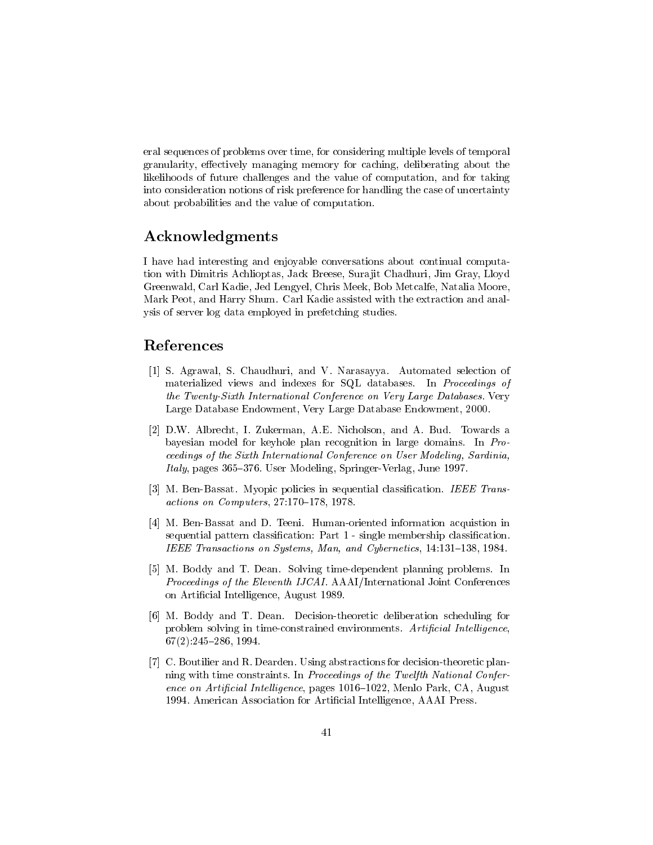eral sequences of problems over time, for considering multiple levels of temporal granularity, effectively managing memory for caching, deliberating about the likelihoods of future challenges and the value of computation, and for taking into consideration notions of risk preference for handling the case of uncertainty about probabilities and the value of computation.

### Acknowledgments

I have had interesting and enjoyable conversations about continual computation with Dimitris Achlioptas, Jack Breese, Surajit Chadhuri, Jim Gray, Lloyd Greenwald, Carl Kadie, Jed Lengyel, Chris Meek, Bob Metcalfe, Natalia Moore, Mark Peot, and Harry Shum. Carl Kadie assisted with the extraction and analysis of server log data employed in prefetching studies.

### References

- [1] S. Agrawal, S. Chaudhuri, and V. Narasayya. Automated selection of materialized views and indexes for SQL databases. In Proceedings of the Twenty-Sixth International Conference on Very Large Databases. Very Large Database Endowment, Very Large Database Endowment, 2000.
- [2] D.W. Albrecht, I. Zukerman, A.E. Nicholson, and A. Bud. Towards a bayesian model for keyhole plan recognition in large domains. In Proceedings of the Sixth International Conference on User Modeling, Sardinia, Italy, pages 365-376. User Modeling, Springer-Verlag, June 1997.
- [3] M. Ben-Bassat. Myopic policies in sequential classification. IEEE Transactions on Computers,  $27:170{-}178$ , 1978.
- [4] M. Ben-Bassat and D. Teeni. Human-oriented information acquistion in sequential pattern classication: Part 1 - single membership classication. IEEE Transactions on Systems, Man, and Cybernetics,  $14:131-138$ , 1984.
- [5] M. Boddy and T. Dean. Solving time-dependent planning problems. In Proceedings of the Eleventh IJCAI. AAAI/International Joint Conferences on Articial Intelligence, August 1989.
- [6] M. Boddy and T. Dean. Decision-theoretic deliberation scheduling for problem solving in time-constrained environments. Artificial Intelligence,  $67(2):245{-}286, 1994.$
- [7] C. Boutilier and R. Dearden. Using abstractions for decision-theoretic planning with time constraints. In Proceedings of the Twelfth National Conference on Artificial Intelligence, pages 1016-1022, Menlo Park, CA, August 1994. American Association for Articial Intelligence, AAAI Press.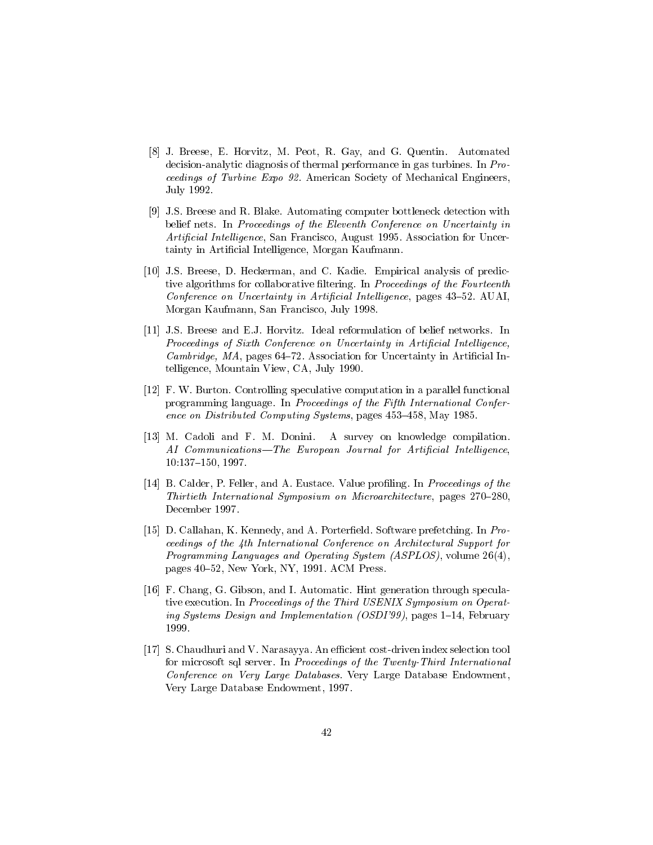- [8] J. Breese, E. Horvitz, M. Peot, R. Gay, and G. Quentin. Automated decision-analytic diagnosis of thermal performance in gas turbines. In Proceedings of Turbine Expo 92.American Society of Mechanical Engineers, July 1992.
- [9] J.S. Breese and R. Blake. Automating computer bottleneck detection with belief nets. In Proceedings of the Eleventh Conference on Uncertainty in Artificial Intelligence, San Francisco, August 1995. Association for Uncertainty in Articial Intelligence, Morgan Kaufmann.
- [10] J.S. Breese, D. Heckerman, and C. Kadie. Empirical analysis of predictive algorithms for collaborative filtering. In *Proceedings of the Fourteenth* Conference on Uncertainty in Artificial Intelligence, pages 43-52. AUAI, Morgan Kaufmann, San Francisco, July 1998.
- [11] J.S. Breese and E.J. Horvitz. Ideal reformulation of belief networks. In Proceedings of Sixth Conference on Uncertainty in Artificial Intelligence, *Cambridge, MA*, pages  $64-72$ . Association for Uncertainty in Artificial Intelligence, Mountain View, CA, July 1990.
- [12] F. W. Burton. Controlling speculative computation in a parallel functional programming language. In Proceedings of the Fifth International Conference on Distributed Computing Systems, pages 453-458, May 1985.
- [13] M. Cadoli and F. M. Donini. A survey on knowledge compilation. AI Communications—The European Journal for Artificial Intelligence, 10:137-150, 1997.
- [14] B. Calder, P. Feller, and A. Eustace. Value profiling. In *Proceedings of the* Thirtieth International Symposium on Microarchitecture, pages 270-280, December 1997.
- [15] D. Callahan, K. Kennedy, and A. Porterfield. Software prefetching. In  $Pro$ ceedings of the 4th International Conference on Architectural Support for Programming Languages and Operating System (ASPLOS), volume 26(4), pages 40-52, New York, NY, 1991. ACM Press.
- [16] F. Chang, G. Gibson, and I. Automatic. Hint generation through speculative execution. In Proceedings of the Third USENIX Symposium on Operating Systems Design and Implementation (OSDI'99), pages  $1–14$ , February 1999.
- [17] S. Chaudhuri and V. Narasayya. An efficient cost-driven index selection tool for microsoft sql server. In Proceedings of the Twenty-Third International Conference on Very Large Databases. Very Large Database Endowment, Very Large Database Endowment, 1997.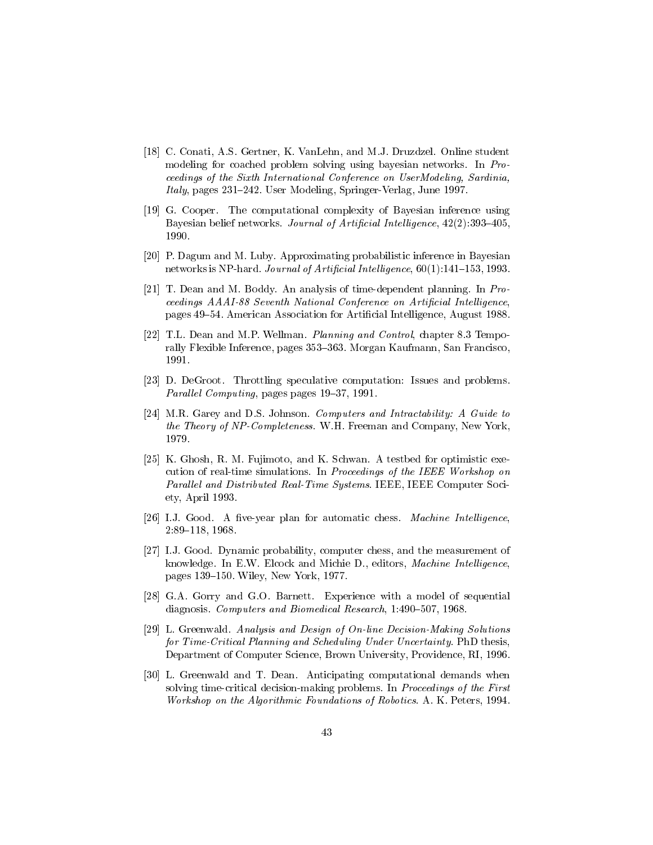- [18] C. Conati, A.S. Gertner, K. VanLehn, and M.J. Druzdzel. Online student modeling for coached problem solving using bayesian networks. In Proceedings of the Sixth International Conference on UserModeling, Sardinia, Italy, pages 231-242. User Modeling, Springer-Verlag, June 1997.
- [19] G. Cooper. The computational complexity of Bayesian inference using Bayesian belief networks. Journal of Artificial Intelligence,  $42(2)$ :393-405, 1990.
- [20] P. Dagum and M. Luby. Approximating probabilistic inference in Bayesian networks is NP-hard. Journal of Artificial Intelligence,  $60(1)$ :141-153, 1993.
- [21] T. Dean and M. Boddy. An analysis of time-dependent planning. In Proceedings AAAI-88 Seventh National Conference on Artificial Intelligence, pages 49–54. American Association for Artificial Intelligence, August 1988.
- [22] T.L. Dean and M.P. Wellman. Planning and Control, chapter 8.3 Temporally Flexible Inference, pages 353–363. Morgan Kaufmann, San Francisco, 1991.
- [23] D. DeGroot. Throttling speculative computation: Issues and problems. Parallel Computing, pages pages 19-37, 1991.
- [24] M.R. Garey and D.S. Johnson. Computers and Intractability: A Guide to the Theory of NP-Completeness. W.H. Freeman and Company, New York,
- [25] K. Ghosh, R. M. Fujimoto, and K. Schwan. A testbed for optimistic execution of real-time simulations. In Proceedings of the IEEE Workshop on Parallel and Distributed Real-Time Systems. IEEE, IEEE Computer Society, April 1993.
- [26] I.J. Good. A five-year plan for automatic chess. *Machine Intelligence*,  $2:89-118.1968.$ 2:89 The contract of the contract of the contract of the contract of the contract of the contract of the contract of the contract of the contract of the contract of the contract of the contract of the contract of the contr
- [27] I.J. Good. Dynamic probability, computer chess, and the measurement of knowledge. In E.W. Elcock and Michie D., editors, Machine Intelligence, pages 139-150. Wiley, New York, 1977.
- [28] G.A. Gorry and G.O. Barnett. Experience with a model of sequential diagnosis. Computers and Biomedical Research, 1:490-507, 1968.
- [29] L. Greenwald. Analysis and Design of On-line Decision-Making Solutions for Time-Critical Planning and Scheduling Under Uncertainty. PhD thesis, Department of Computer Science, Brown University, Providence, RI, 1996.
- [30] L. Greenwald and T. Dean. Anticipating computational demands when solving time-critical decision-making problems. In *Proceedings of the First* Workshop on the Algorithmic Foundations of Robotics. A. K. Peters, 1994.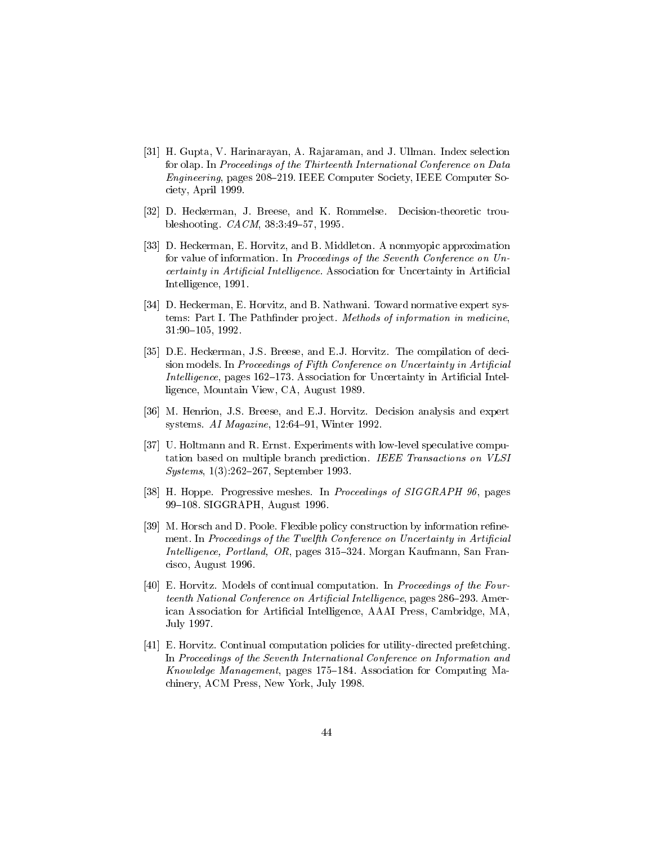- [31] H. Gupta, V. Harinarayan, A. Ra jaraman, and J. Ullman. Index selection for olap. In Proceedings of the Thirteenth International Conference on Data Engineering, pages 208-219. IEEE Computer Society, IEEE Computer Society, April 1999.
- [32] D. Heckerman, J. Breese, and K. Rommelse. Decision-theoretic troubleshooting.  $CACM$ ,  $38.3.49{-}57$ , 1995.
- [33] D. Heckerman, E. Horvitz, and B. Middleton. A nonmyopic approximation for value of information. In Proceedings of the Seventh Conference on Uncertainty in Artificial Intelligence. Association for Uncertainty in Artificial Intelligence, 1991.
- [34] D. Heckerman, E. Horvitz, and B. Nathwani. Toward normative expert systems: Part I. The Pathfinder project. Methods of information in medicine, 31:90-105, 1992.
- [35] D.E. Heckerman, J.S. Breese, and E.J. Horvitz. The compilation of decision models. In Proceedings of Fifth Conference on Uncertainty in Artificial *Intelligence*, pages  $162-173$ . Association for Uncertainty in Artificial Intelligence, Mountain View, CA, August 1989.
- [36] M. Henrion, J.S. Breese, and E.J. Horvitz. Decision analysis and expert systems.  $AI\ Magazine$ , 12:64-91, Winter 1992.
- [37] U. Holtmann and R. Ernst. Experiments with low-level speculative computation based on multiple branch prediction. IEEE Transactions on VLSI  $Systems, 1(3): 262–267, September 1993.$
- [38] H. Hoppe. Progressive meshes. In Proceedings of SIGGRAPH 96, pages 99-108. SIGGRAPH, August 1996.
- [39] M. Horsch and D. Poole. Flexible policy construction by information renement. In Proceedings of the Twelfth Conference on Uncertainty in Artificial Intelligence, Portland, OR, pages 315-324. Morgan Kaufmann, San Francisco, August 1996.
- [40] E. Horvitz. Models of continual computation. In Proceedings of the Fourteenth National Conference on Artificial Intelligence, pages 286-293. American Association for Artificial Intelligence, AAAI Press, Cambridge, MA, July 1997.
- [41] E. Horvitz. Continual computation policies for utility-directed prefetching. In Proceedings of the Seventh International Conference on Information and Knowledge Management, pages  $175{\text -}184$ . Association for Computing Machinery, ACM Press, New York, July 1998.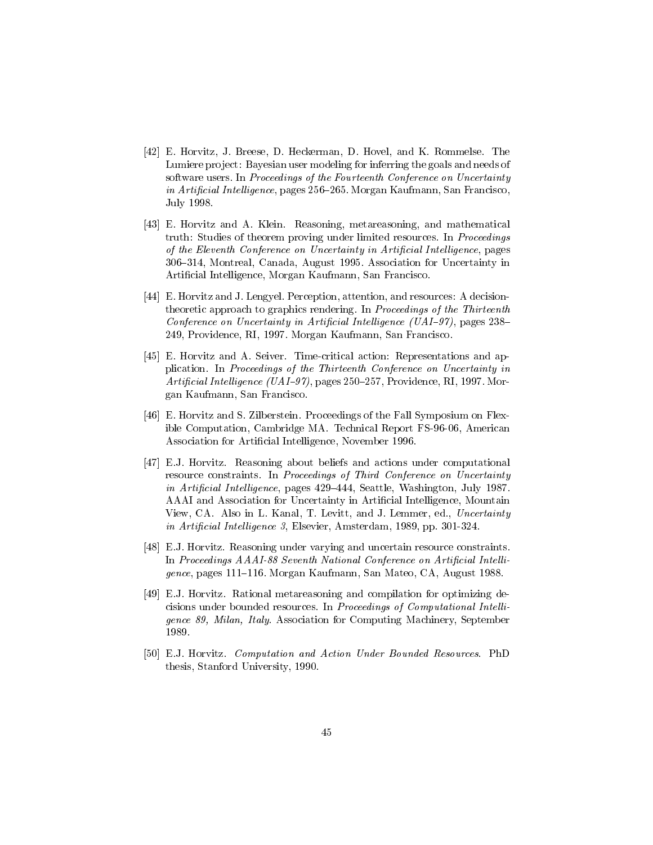- [42] E. Horvitz, J. Breese, D. Heckerman, D. Hovel, and K. Rommelse. The Lumiere project: Bayesian user modeling for inferring the goals and needs of software users. In Proceedings of the Fourteenth Conference on Uncertainty  $in Artificial Intelligence$ , pages 256–265. Morgan Kaufmann, San Francisco, July 1998.
- [43] E. Horvitz and A. Klein. Reasoning, metareasoning, and mathematical truth: Studies of theorem proving under limited resources. In Proceedings of the Eleventh Conference on Uncertainty in Artificial Intelligence, pages 306{314, Montreal, Canada, August 1995. Association for Uncertainty in Articial Intelligence, Morgan Kaufmann, San Francisco.
- [44] E. Horvitz and J. Lengyel. Perception, attention, and resources: A decisiontheoretic approach to graphics rendering. In *Proceedings of the Thirteenth* Conference on Uncertainty in Artificial Intelligence (UAI-97), pages  $238-$ 249, Providence, RI, 1997. Morgan Kaufmann, San Francisco.
- [45] E. Horvitz and A. Seiver. Time-critical action: Representations and application. In Proceedings of the Thirteenth Conference on Uncertainty in Artificial Intelligence (UAI-97), pages  $250-257$ , Providence, RI, 1997. Morgan Kaufmann, San Francisco.
- [46] E. Horvitz and S. Zilberstein. Proceedings of the Fall Symposium on Flexible Computation, Cambridge MA. Technical Report FS-96-06, American Association for Articial Intelligence, November 1996.
- [47] E.J. Horvitz. Reasoning about beliefs and actions under computational resource constraints. In Proceedings of Third Conference on Uncertainty in Artificial Intelligence, pages 429-444, Seattle, Washington, July 1987. AAAI and Association for Uncertainty in Articial Intelligence, Mountain View, CA. Also in L. Kanal, T. Levitt, and J. Lemmer, ed., Uncertainty in Artificial Intelligence 3, Elsevier, Amsterdam, 1989, pp. 301-324.
- [48] E.J. Horvitz. Reasoning under varying and uncertain resource constraints. In Proceedings  $A A A I - 88$  Seventh National Conference on Artificial Intelligence, pages 111-116. Morgan Kaufmann, San Mateo, CA, August 1988.
- [49] E.J. Horvitz. Rational metareasoning and compilation for optimizing decisions under bounded resources. In *Proceedings of Computational Intelli*gence 89, Milan, Italy. Association for Computing Machinery, September 1989.
- [50] E.J. Horvitz. *Computation and Action Under Bounded Resources*. PhD [50] E.J. Horvitz. Computation and Action Under Bounded Resources. PhD thesis, Stanford University, 1990.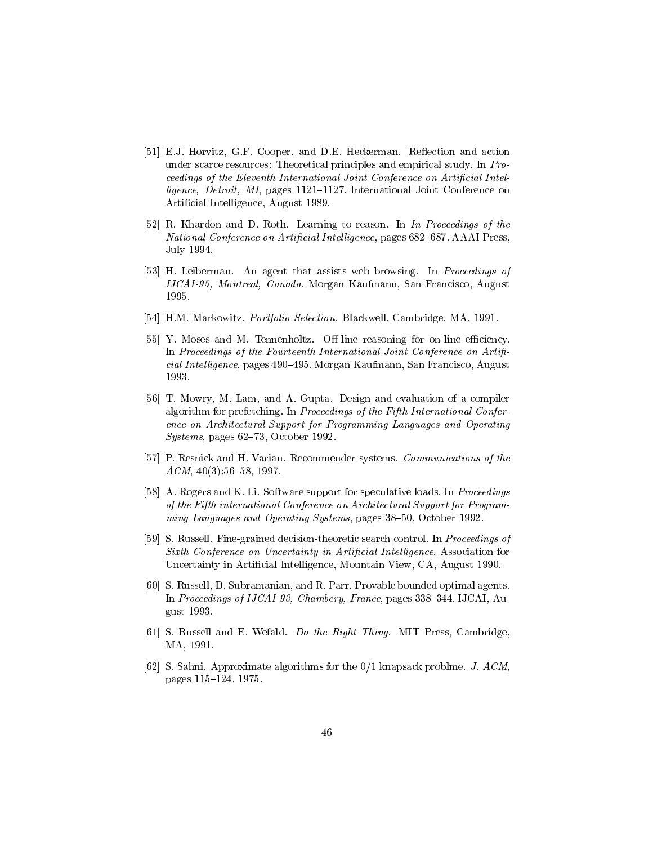- [51] E.J. Horvitz, G.F. Cooper, and D.E. Heckerman. Reflection and action under scarce resources: Theoretical principles and empirical study. In Proceedings of the Eleventh International Joint Conference on Artificial Intelligence, Detroit, MI, pages  $1121-1127$ . International Joint Conference on Articial Intelligence, August 1989.
- [52] R. Khardon and D. Roth. Learning to reason. In In Proceedings of the National Conference on Artificial Intelligence, pages 682-687. AAAI Press, July 1994.
- [53] H. Leiberman. An agent that assists web browsing. In Proceedings of IJCAI-95, Montreal, Canada. Morgan Kaufmann, San Francisco, August
- [54] H.M. Markowitz. Portfolio Selection. Blackwell, Cambridge, MA, 1991.
- [55] Y. Moses and M. Tennenholtz. Off-line reasoning for on-line efficiency. In Proceedings of the Fourteenth International Joint Conference on Artificial Intelligence, pages 490-495. Morgan Kaufmann, San Francisco, August
- [56] T. Mowry, M. Lam, and A. Gupta. Design and evaluation of a compiler algorithm for prefetching. In Proceedings of the Fifth International Conference on Architectural Support for Programming Languages and Operating Systems, pages  $62-73$ , October 1992.
- [57] P. Resnick and H. Varian. Recommender systems. Communications of the  $ACM$ , 40(3):56-58, 1997.
- [58] A. Rogers and K. Li. Software support for speculative loads. In *Proceedings* of the Fifth international Conference on Architectural Support for Programming Languages and Operating Systems, pages  $38-50$ , October 1992.
- [59] S. Russell. Fine-grained decision-theoretic search control. In *Proceedings of* Sixth Conference on Uncertainty in Artificial Intelligence. Association for Uncertainty in Articial Intelligence, Mountain View, CA, August 1990.
- [60] S. Russell, D. Subramanian, and R. Parr. Provable bounded optimal agents. In Proceedings of IJCAI-93, Chambery, France, pages 338-344. IJCAI, August 1993.
- [61] S. Russell and E. Wefald. Do the Right Thing. MIT Press, Cambridge, MA, 1991.
- [62] S. Sahni. Approximate algorithms for the 0/1 knapsack problme. J. ACM, pages 115-124, 1975.